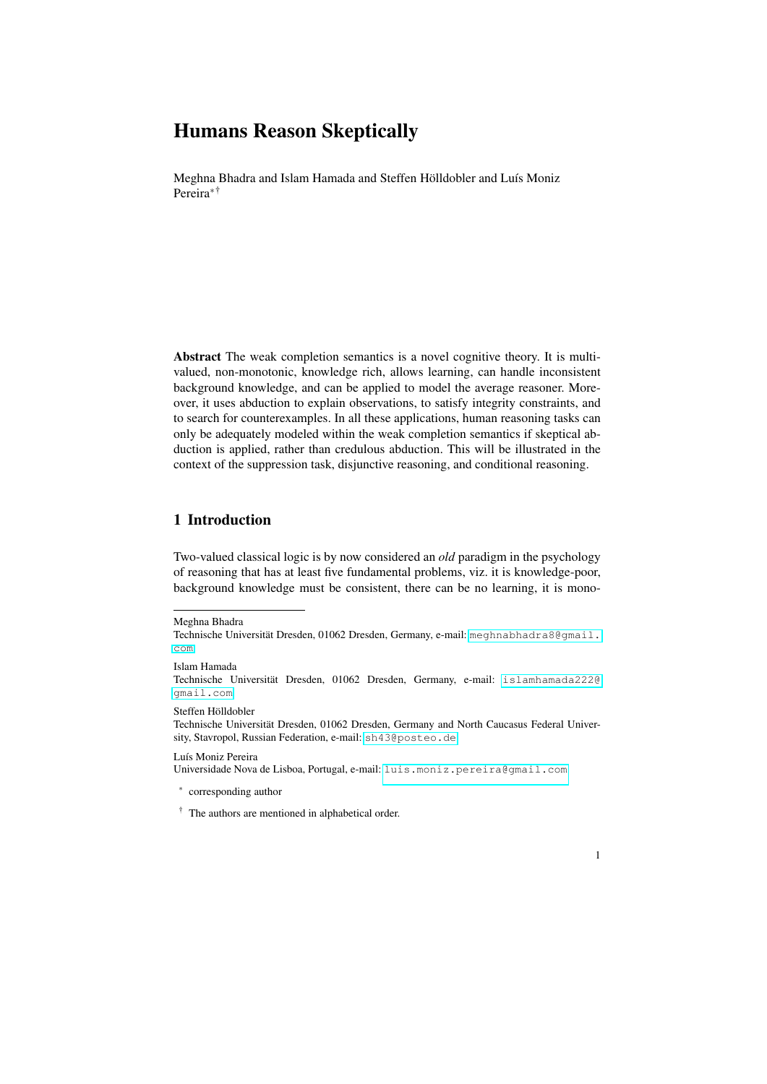Meghna Bhadra and Islam Hamada and Steffen Hölldobler and Luís Moniz Pereira∗†

Abstract The weak completion semantics is a novel cognitive theory. It is multivalued, non-monotonic, knowledge rich, allows learning, can handle inconsistent background knowledge, and can be applied to model the average reasoner. Moreover, it uses abduction to explain observations, to satisfy integrity constraints, and to search for counterexamples. In all these applications, human reasoning tasks can only be adequately modeled within the weak completion semantics if skeptical abduction is applied, rather than credulous abduction. This will be illustrated in the context of the suppression task, disjunctive reasoning, and conditional reasoning.

# 1 Introduction

Two-valued classical logic is by now considered an *old* paradigm in the psychology of reasoning that has at least five fundamental problems, viz. it is knowledge-poor, background knowledge must be consistent, there can be no learning, it is mono-

Islam Hamada

Steffen Hölldobler

Technische Universität Dresden, 01062 Dresden, Germany and North Caucasus Federal University, Stavropol, Russian Federation, e-mail: <sh43@posteo.de>

Luís Moniz Pereira

Universidade Nova de Lisboa, Portugal, e-mail: <luis.moniz.pereira@gmail.com>

∗ corresponding author



Meghna Bhadra

Technische Universität Dresden, 01062 Dresden, Germany, e-mail: [meghnabhadra8@gmail.](meghnabhadra8@gmail.com) [com](meghnabhadra8@gmail.com)

Technische Universität Dresden, 01062 Dresden, Germany, e-mail: [islamhamada222@](islamhamada222@gmail.com) [gmail.com](islamhamada222@gmail.com)

<sup>†</sup> The authors are mentioned in alphabetical order.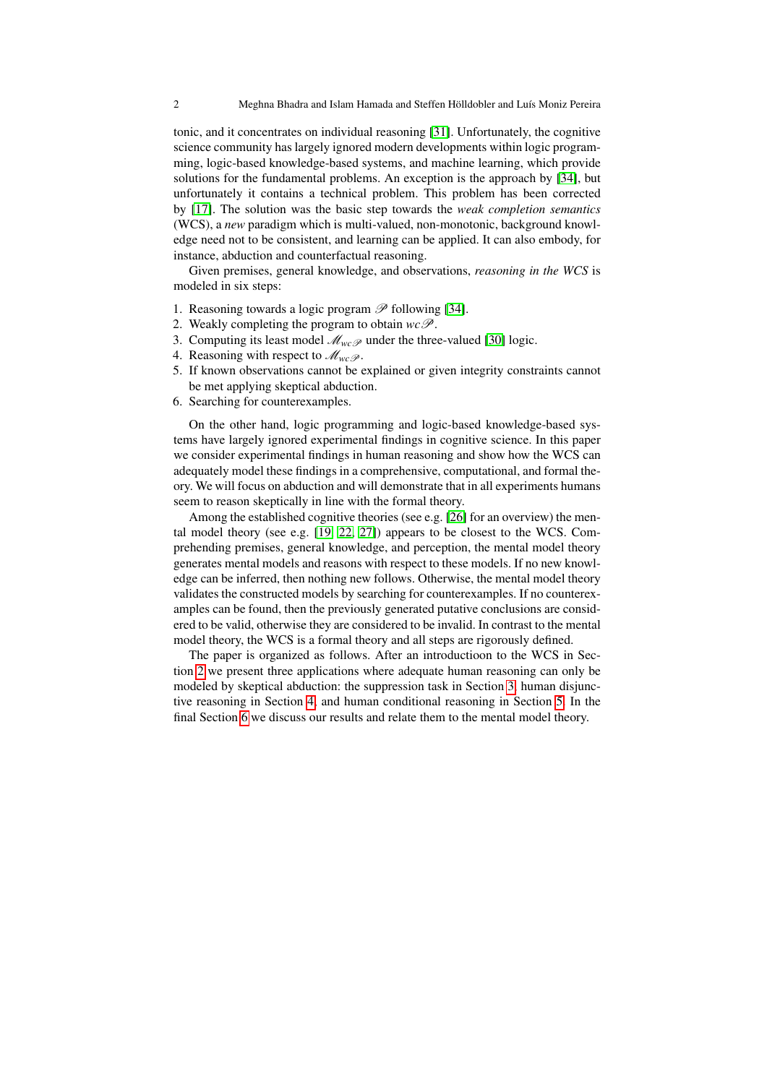tonic, and it concentrates on individual reasoning [\[31\]](#page-31-0). Unfortunately, the cognitive science community has largely ignored modern developments within logic programming, logic-based knowledge-based systems, and machine learning, which provide solutions for the fundamental problems. An exception is the approach by [\[34\]](#page-31-1), but unfortunately it contains a technical problem. This problem has been corrected by [\[17\]](#page-30-0). The solution was the basic step towards the *weak completion semantics* (WCS), a *new* paradigm which is multi-valued, non-monotonic, background knowledge need not to be consistent, and learning can be applied. It can also embody, for instance, abduction and counterfactual reasoning.

Given premises, general knowledge, and observations, *reasoning in the WCS* is modeled in six steps:

- 1. Reasoning towards a logic program  $\mathscr P$  following [\[34\]](#page-31-1).
- 2. Weakly completing the program to obtain  $wc\mathscr{P}$ .
- 3. Computing its least model  $\mathcal{M}_{wc}$  under the three-valued [\[30\]](#page-31-2) logic.
- 4. Reasoning with respect to  $\mathcal{M}_{wcP}$ .
- 5. If known observations cannot be explained or given integrity constraints cannot be met applying skeptical abduction.
- 6. Searching for counterexamples.

On the other hand, logic programming and logic-based knowledge-based systems have largely ignored experimental findings in cognitive science. In this paper we consider experimental findings in human reasoning and show how the WCS can adequately model these findings in a comprehensive, computational, and formal theory. We will focus on abduction and will demonstrate that in all experiments humans seem to reason skeptically in line with the formal theory.

Among the established cognitive theories (see e.g. [\[26\]](#page-31-3) for an overview) the mental model theory (see e.g. [\[19,](#page-30-1) [22,](#page-31-4) [27\]](#page-31-5)) appears to be closest to the WCS. Comprehending premises, general knowledge, and perception, the mental model theory generates mental models and reasons with respect to these models. If no new knowledge can be inferred, then nothing new follows. Otherwise, the mental model theory validates the constructed models by searching for counterexamples. If no counterexamples can be found, then the previously generated putative conclusions are considered to be valid, otherwise they are considered to be invalid. In contrast to the mental model theory, the WCS is a formal theory and all steps are rigorously defined.

The paper is organized as follows. After an introductioon to the WCS in Section [2](#page-2-0) we present three applications where adequate human reasoning can only be modeled by skeptical abduction: the suppression task in Section [3,](#page-3-0) human disjunctive reasoning in Section [4,](#page-5-0) and human conditional reasoning in Section [5.](#page-9-0) In the final Section [6](#page-27-0) we discuss our results and relate them to the mental model theory.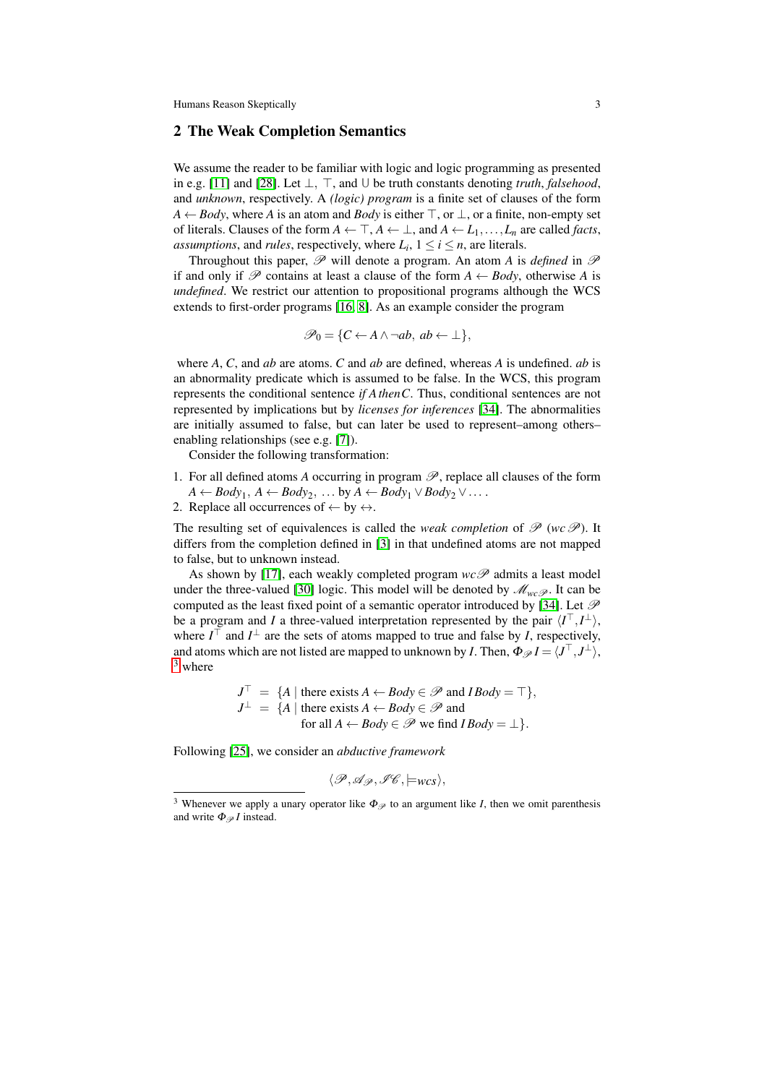### <span id="page-2-0"></span>2 The Weak Completion Semantics

We assume the reader to be familiar with logic and logic programming as presented in e.g. [\[11\]](#page-30-2) and [\[28\]](#page-31-6). Let  $\perp$ ,  $\top$ , and  $\cup$  be truth constants denoting *truth*, *falsehood*, and *unknown*, respectively. A *(logic) program* is a finite set of clauses of the form  $A \leftarrow Body$ , where *A* is an atom and *Body* is either  $\top$ , or  $\bot$ , or a finite, non-empty set of literals. Clauses of the form  $A \leftarrow \top, A \leftarrow \bot$ , and  $A \leftarrow L_1, \ldots, L_n$  are called *facts*, *assumptions*, and *rules*, respectively, where  $L_i$ ,  $1 \le i \le n$ , are literals.

Throughout this paper,  $\mathscr P$  will denote a program. An atom *A* is *defined* in  $\mathscr P$ if and only if P contains at least a clause of the form  $A \leftarrow Body$ , otherwise A is *undefined*. We restrict our attention to propositional programs although the WCS extends to first-order programs [\[16,](#page-30-3) [8\]](#page-30-4). As an example consider the program

$$
\mathscr{P}_0 = \{ C \leftarrow A \land \neg ab, \ ab \leftarrow \bot \},\
$$

where *A*, *C*, and *ab* are atoms. *C* and *ab* are defined, whereas *A* is undefined. *ab* is an abnormality predicate which is assumed to be false. In the WCS, this program represents the conditional sentence *if AthenC*. Thus, conditional sentences are not represented by implications but by *licenses for inferences* [\[34\]](#page-31-1). The abnormalities are initially assumed to false, but can later be used to represent–among others– enabling relationships (see e.g. [\[7\]](#page-30-5)).

Consider the following transformation:

- 1. For all defined atoms A occurring in program  $\mathscr{P}$ , replace all clauses of the form  $A \leftarrow Body_1, A \leftarrow Body_2, \ldots by A \leftarrow Body_1 \vee Body_2 \vee \ldots$
- 2. Replace all occurrences of  $\leftarrow$  by  $\leftrightarrow$ .

The resulting set of equivalences is called the *weak completion* of  $\mathscr{P}$  (*wc* $\mathscr{P}$ ). It differs from the completion defined in [\[3\]](#page-30-6) in that undefined atoms are not mapped to false, but to unknown instead.

As shown by [\[17\]](#page-30-0), each weakly completed program  $wc\mathscr{P}$  admits a least model under the three-valued [\[30\]](#page-31-2) logic. This model will be denoted by  $\mathcal{M}_{wcP}$ . It can be computed as the least fixed point of a semantic operator introduced by [\[34\]](#page-31-1). Let  $\mathscr P$ be a program and *I* a three-valued interpretation represented by the pair  $\langle I^{\top}, I^{\perp} \rangle$ , where  $I^{\top}$  and  $I^{\perp}$  are the sets of atoms mapped to true and false by *I*, respectively, and atoms which are not listed are mapped to unknown by *I*. Then,  $\Phi_{\mathscr{P}}I = \langle J^\top, J^\bot \rangle$ ,  $3$  where

$$
J^{\top} = \{A \mid \text{there exists } A \leftarrow Body \in \mathcal{P} \text{ and } IBody = \top\},
$$
  

$$
J^{\perp} = \{A \mid \text{there exists } A \leftarrow Body \in \mathcal{P} \text{ and}
$$
  
for all  $A \leftarrow Body \in \mathcal{P} \text{ we find } IBody = \bot\}.$ 

Following [\[25\]](#page-31-7), we consider an *abductive framework*

$$
\langle \mathscr{P}, \mathscr{A}_{\mathscr{P}}, \mathscr{I}\mathscr{C}, \models_{\mathit{WCS}} \rangle,
$$

<span id="page-2-1"></span><sup>&</sup>lt;sup>3</sup> Whenever we apply a unary operator like  $\Phi_{\mathscr{P}}$  to an argument like *I*, then we omit parenthesis and write  $\Phi_{\mathscr{P}} I$  instead.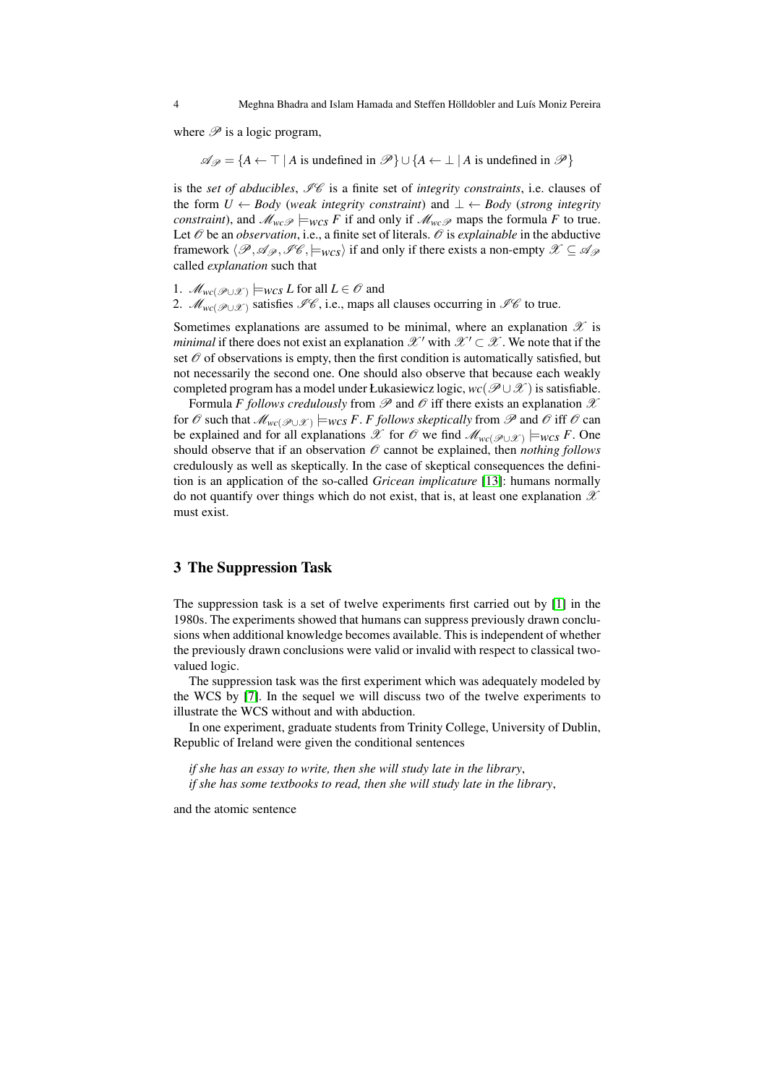where  $\mathscr P$  is a logic program,

 $\mathscr{A}_{\mathscr{P}} = \{A \leftarrow \top | A \text{ is undefined in } \mathscr{P}\} \cup \{A \leftarrow \bot | A \text{ is undefined in } \mathscr{P}\}\$ 

is the *set of abducibles*,  $\mathcal{I}\mathcal{C}$  is a finite set of *integrity constraints*, i.e. clauses of the form *U* ← *Body* (*weak integrity constraint*) and ⊥ ← *Body* (*strong integrity constraint*), and  $\mathcal{M}_{wc}$   $\neq$   $\mu_{wcs}$  *F* if and only if  $\mathcal{M}_{wc}$  maps the formula *F* to true. Let  $\mathcal O$  be an *observation*, i.e., a finite set of literals.  $\mathcal O$  is *explainable* in the abductive framework  $\langle \mathcal{P},\mathcal{A}_{\mathcal{P}},\mathcal{I}\mathcal{C},\models_{WCS}\rangle$  if and only if there exists a non-empty  $\mathcal{X}\subseteq\mathcal{A}_{\mathcal{P}}$ called *explanation* such that

1.  $M_{wc}(\mathcal{P} \cup \mathcal{X})$   $\models$ *wcs L* for all *L* ∈  $\mathcal{O}$  and

2. *M<sub>wc</sub>*( $\mathcal{P} \cup \mathcal{X}$ ) satisfies  $\mathcal{I}\mathcal{C}$ , i.e., maps all clauses occurring in  $\mathcal{I}\mathcal{C}$  to true.

Sometimes explanations are assumed to be minimal, where an explanation  $\mathscr X$  is *minimal* if there does not exist an explanation  $\mathscr{X}'$  with  $\mathscr{X}' \subset \mathscr{X}$ . We note that if the set  $\mathcal O$  of observations is empty, then the first condition is automatically satisfied, but not necessarily the second one. One should also observe that because each weakly completed program has a model under Łukasiewicz logic,  $wc(\mathcal{P} \cup \mathcal{X})$  is satisfiable.

Formula *F follows credulously* from  $\mathscr P$  and  $\mathscr O$  iff there exists an explanation  $\mathscr X$ for  $\mathscr O$  such that  $\mathscr M_{wc(\mathscr P\cup\mathscr X)}\models_{\mathsf{WCS}} F.$  *F follows skeptically* from  $\mathscr P$  and  $\mathscr O$  iff  $\mathscr O$  can be explained and for all explanations  $\mathscr X$  for  $\mathscr O$  we find  $\mathscr M_{wc(\mathscr P \cup \mathscr X)} \models_{\mathsf{wCS}} F$ . One should observe that if an observation  $\mathcal O$  cannot be explained, then *nothing follows* credulously as well as skeptically. In the case of skeptical consequences the definition is an application of the so-called *Gricean implicature* [\[13\]](#page-30-7): humans normally do not quantify over things which do not exist, that is, at least one explanation  $\mathscr X$ must exist.

### <span id="page-3-0"></span>3 The Suppression Task

The suppression task is a set of twelve experiments first carried out by [\[1\]](#page-29-0) in the 1980s. The experiments showed that humans can suppress previously drawn conclusions when additional knowledge becomes available. This is independent of whether the previously drawn conclusions were valid or invalid with respect to classical twovalued logic.

The suppression task was the first experiment which was adequately modeled by the WCS by [\[7\]](#page-30-5). In the sequel we will discuss two of the twelve experiments to illustrate the WCS without and with abduction.

In one experiment, graduate students from Trinity College, University of Dublin, Republic of Ireland were given the conditional sentences

*if she has an essay to write, then she will study late in the library*, *if she has some textbooks to read, then she will study late in the library*,

and the atomic sentence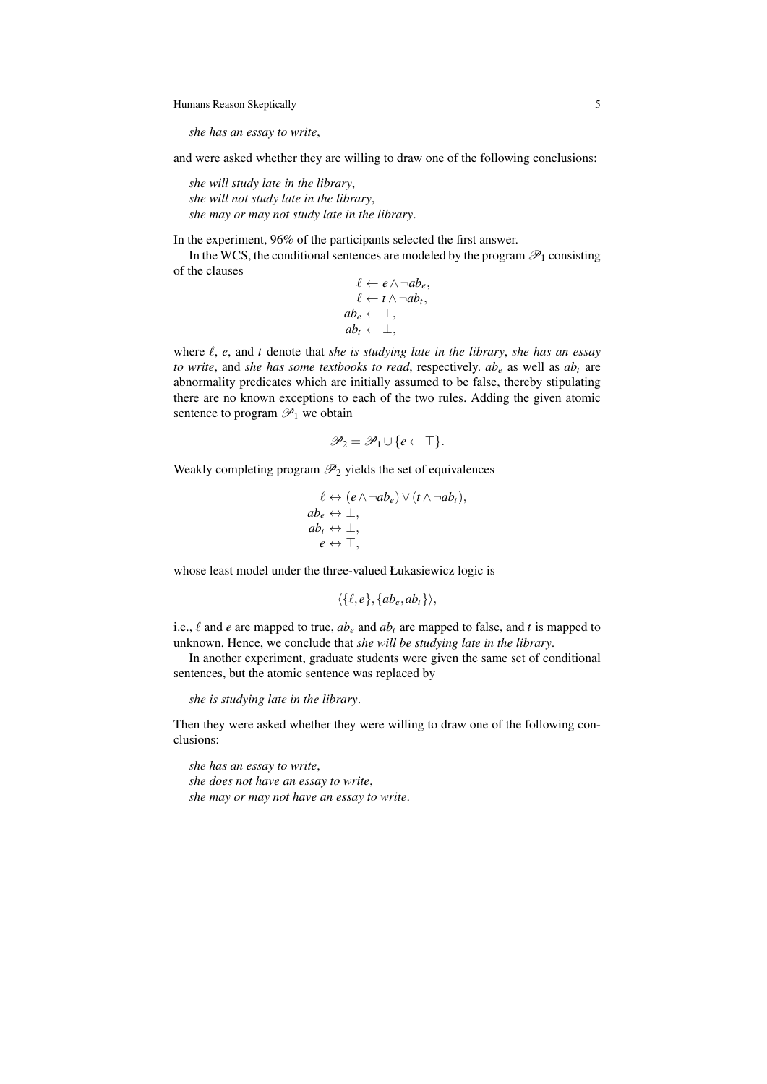*she has an essay to write*,

and were asked whether they are willing to draw one of the following conclusions:

*she will study late in the library*, *she will not study late in the library*, *she may or may not study late in the library*.

In the experiment, 96% of the participants selected the first answer.

In the WCS, the conditional sentences are modeled by the program  $\mathscr{P}_1$  consisting of the clauses

$$
\ell \leftarrow e \land \neg ab_e,\ell \leftarrow t \land \neg ab_t,ab_e \leftarrow \bot,ab_t \leftarrow \bot,
$$

where  $\ell$ , *e*, and *t* denote that *she is studying late in the library*, *she has an essay to write*, and *she has some textbooks to read*, respectively.  $ab_e$  as well as  $ab_t$  are abnormality predicates which are initially assumed to be false, thereby stipulating there are no known exceptions to each of the two rules. Adding the given atomic sentence to program  $\mathcal{P}_1$  we obtain

$$
\mathscr{P}_2 = \mathscr{P}_1 \cup \{e \leftarrow \top\}.
$$

Weakly completing program  $\mathcal{P}_2$  yields the set of equivalences

$$
\ell \leftrightarrow (e \land \neg ab_e) \lor (t \land \neg ab_t),ab_e \leftrightarrow \bot,ab_t \leftrightarrow \bot,e \leftrightarrow \top,
$$

whose least model under the three-valued Łukasiewicz logic is

$$
\langle \{\ell,e\}, \{ab_e,ab_t\}\rangle,
$$

i.e.,  $\ell$  and *e* are mapped to true,  $ab_{\ell}$  and  $ab_{t}$  are mapped to false, and *t* is mapped to unknown. Hence, we conclude that *she will be studying late in the library*.

In another experiment, graduate students were given the same set of conditional sentences, but the atomic sentence was replaced by

*she is studying late in the library*.

Then they were asked whether they were willing to draw one of the following conclusions:

*she has an essay to write*,

*she does not have an essay to write*, *she may or may not have an essay to write*.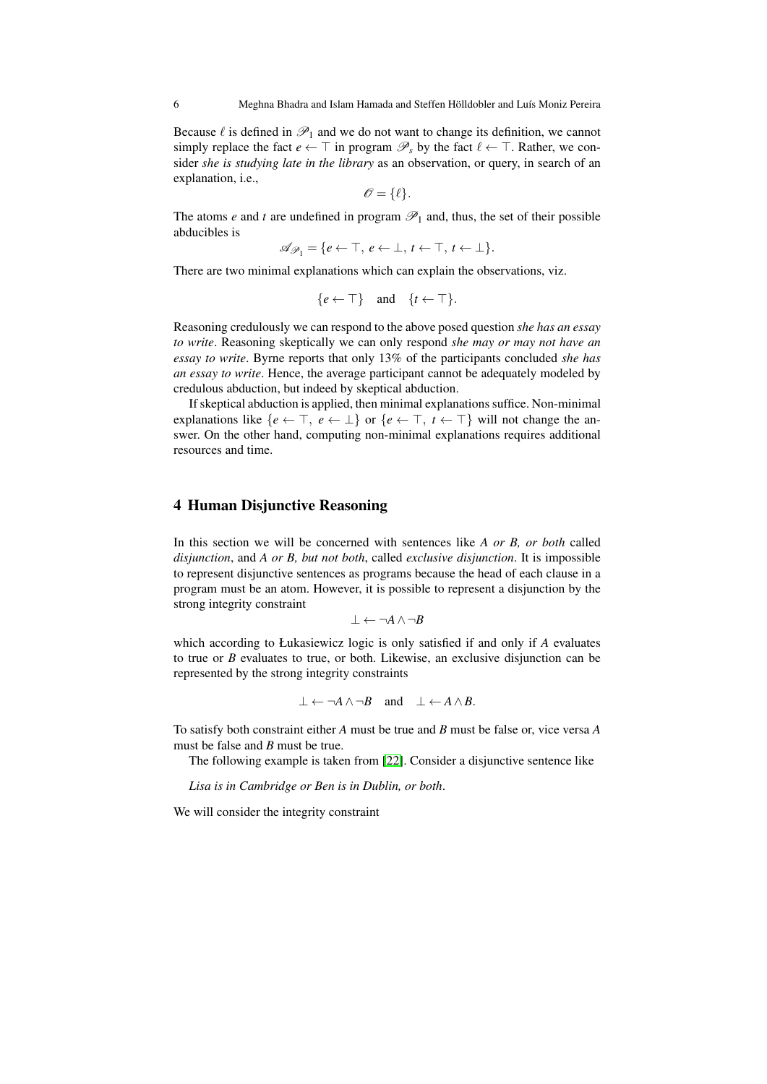Because  $\ell$  is defined in  $\mathcal{P}_1$  and we do not want to change its definition, we cannot simply replace the fact  $e \leftarrow \top$  in program  $\mathcal{P}_s$  by the fact  $\ell \leftarrow \top$ . Rather, we consider *she is studying late in the library* as an observation, or query, in search of an explanation, i.e.,

$$
\mathscr{O} = \{ \ell \}.
$$

The atoms *e* and *t* are undefined in program  $\mathcal{P}_1$  and, thus, the set of their possible abducibles is

$$
\mathscr{A}_{\mathscr{P}_1} = \{e \leftarrow \top, e \leftarrow \bot, t \leftarrow \top, t \leftarrow \bot\}.
$$

There are two minimal explanations which can explain the observations, viz.

$$
\{e \leftarrow \top\} \quad \text{and} \quad \{t \leftarrow \top\}.
$$

Reasoning credulously we can respond to the above posed question *she has an essay to write*. Reasoning skeptically we can only respond *she may or may not have an essay to write*. Byrne reports that only 13% of the participants concluded *she has an essay to write*. Hence, the average participant cannot be adequately modeled by credulous abduction, but indeed by skeptical abduction.

If skeptical abduction is applied, then minimal explanations suffice. Non-minimal explanations like  ${e \leftarrow \top, e \leftarrow \bot}$  or  ${e \leftarrow \top, t \leftarrow \top}$  will not change the answer. On the other hand, computing non-minimal explanations requires additional resources and time.

# <span id="page-5-0"></span>4 Human Disjunctive Reasoning

In this section we will be concerned with sentences like *A or B, or both* called *disjunction*, and *A or B, but not both*, called *exclusive disjunction*. It is impossible to represent disjunctive sentences as programs because the head of each clause in a program must be an atom. However, it is possible to represent a disjunction by the strong integrity constraint

$$
\bot \leftarrow \neg A \land \neg B
$$

which according to Łukasiewicz logic is only satisfied if and only if *A* evaluates to true or *B* evaluates to true, or both. Likewise, an exclusive disjunction can be represented by the strong integrity constraints

$$
\bot \leftarrow \neg A \land \neg B \quad \text{and} \quad \bot \leftarrow A \land B.
$$

To satisfy both constraint either *A* must be true and *B* must be false or, vice versa *A* must be false and *B* must be true.

The following example is taken from [\[22\]](#page-31-4). Consider a disjunctive sentence like

*Lisa is in Cambridge or Ben is in Dublin, or both*.

We will consider the integrity constraint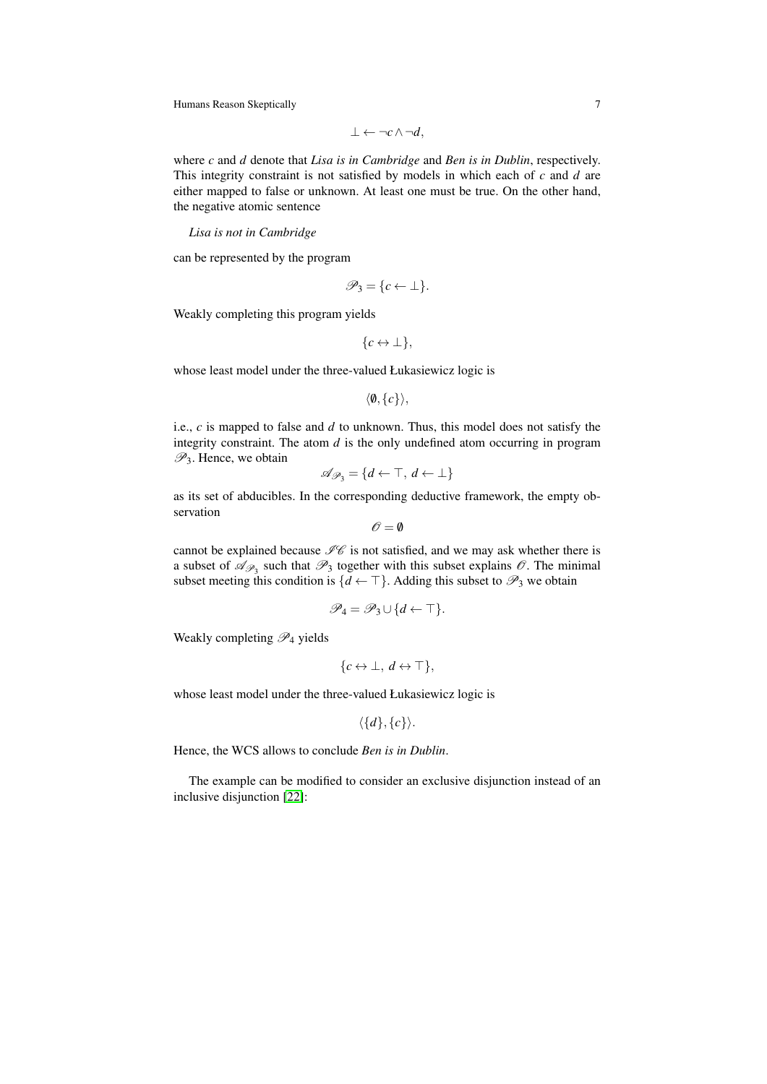$$
\bot \leftarrow \neg c \land \neg d,
$$

where *c* and *d* denote that *Lisa is in Cambridge* and *Ben is in Dublin*, respectively. This integrity constraint is not satisfied by models in which each of *c* and *d* are either mapped to false or unknown. At least one must be true. On the other hand, the negative atomic sentence

*Lisa is not in Cambridge*

can be represented by the program

$$
\mathscr{P}_3 = \{c \leftarrow \perp\}.
$$

Weakly completing this program yields

$$
\{c \leftrightarrow \bot\},\
$$

whose least model under the three-valued Łukasiewicz logic is

```
\langle \emptyset, \{c\} \rangle,
```
i.e., *c* is mapped to false and *d* to unknown. Thus, this model does not satisfy the integrity constraint. The atom *d* is the only undefined atom occurring in program  $\mathscr{P}_3$ . Hence, we obtain

$$
\mathscr{A}_{\mathscr{P}_3} = \{d \leftarrow \top, d \leftarrow \bot\}
$$

as its set of abducibles. In the corresponding deductive framework, the empty observation

$$
\mathscr{O}=\emptyset
$$

cannot be explained because  $\mathcal{I}\mathcal{C}$  is not satisfied, and we may ask whether there is a subset of  $\mathscr{A}_{\mathscr{P}_3}$  such that  $\mathscr{P}_3$  together with this subset explains  $\mathscr{O}$ . The minimal subset meeting this condition is  $\{d \leftarrow \top\}$ . Adding this subset to  $\mathscr{P}_3$  we obtain

$$
\mathscr{P}_4 = \mathscr{P}_3 \cup \{d \leftarrow \top\}.
$$

Weakly completing  $\mathscr{P}_4$  yields

$$
\{c \leftrightarrow \bot, d \leftrightarrow \top\},\
$$

whose least model under the three-valued Łukasiewicz logic is

$$
\langle \{d\}, \{c\} \rangle.
$$

Hence, the WCS allows to conclude *Ben is in Dublin*.

The example can be modified to consider an exclusive disjunction instead of an inclusive disjunction [\[22\]](#page-31-4):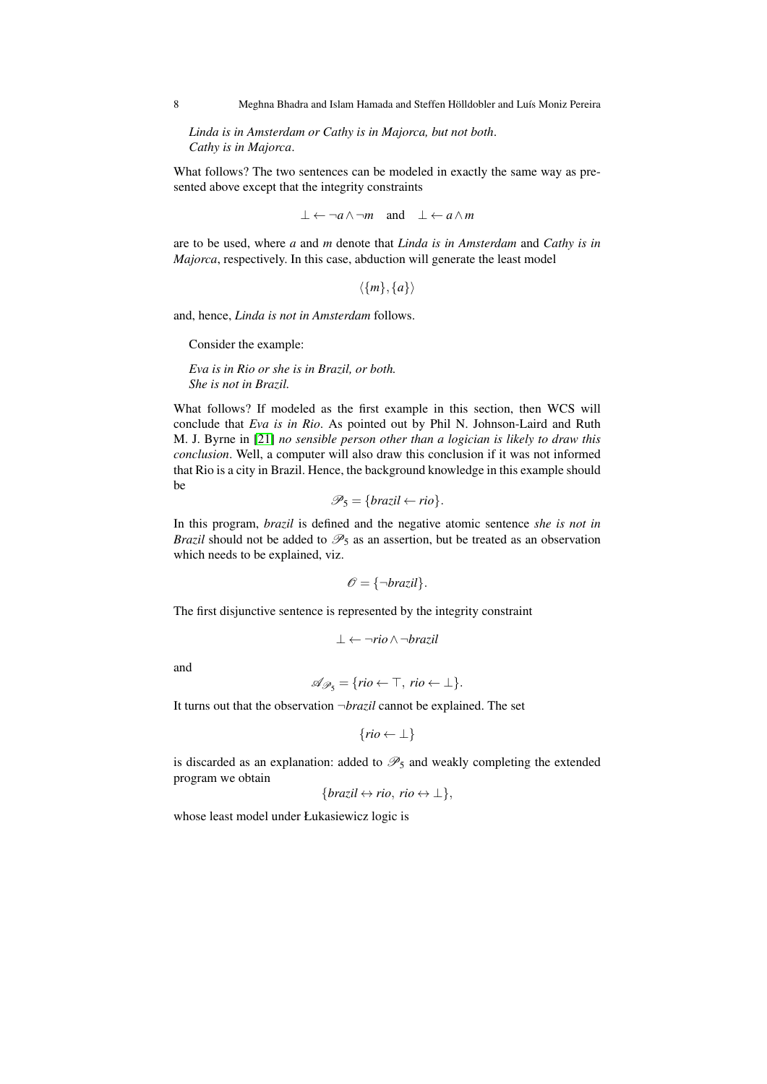*Linda is in Amsterdam or Cathy is in Majorca, but not both*. *Cathy is in Majorca*.

What follows? The two sentences can be modeled in exactly the same way as presented above except that the integrity constraints

$$
\bot \leftarrow \neg a \land \neg m \quad \text{and} \quad \bot \leftarrow a \land m
$$

are to be used, where *a* and *m* denote that *Linda is in Amsterdam* and *Cathy is in Majorca*, respectively. In this case, abduction will generate the least model

 $\langle \{m\},\{a\}\rangle$ 

and, hence, *Linda is not in Amsterdam* follows.

Consider the example:

*Eva is in Rio or she is in Brazil, or both. She is not in Brazil.*

What follows? If modeled as the first example in this section, then WCS will conclude that *Eva is in Rio*. As pointed out by Phil N. Johnson-Laird and Ruth M. J. Byrne in [\[21\]](#page-30-8) *no sensible person other than a logician is likely to draw this conclusion*. Well, a computer will also draw this conclusion if it was not informed that Rio is a city in Brazil. Hence, the background knowledge in this example should be

$$
\mathscr{P}_5 = \{ \text{brazil} \leftarrow \text{rio} \}.
$$

In this program, *brazil* is defined and the negative atomic sentence *she is not in Brazil* should not be added to  $\mathcal{P}_5$  as an assertion, but be treated as an observation which needs to be explained, viz.

$$
\mathscr{O} = {\neg \text{brazil}}.
$$

The first disjunctive sentence is represented by the integrity constraint

$$
\bot \leftarrow \neg{\textit{rio}} \wedge \neg{\textit{brazil}}
$$

and

$$
\mathscr{A}_{\mathscr{P}_5} = \{rio \leftarrow \top, \, rio \leftarrow \bot\}.
$$

It turns out that the observation ¬*brazil* cannot be explained. The set

$$
\{rio \leftarrow \bot\}
$$

is discarded as an explanation: added to  $\mathcal{P}_5$  and weakly completing the extended program we obtain

$$
\{ \text{brazil} \leftrightarrow \text{rio}, \text{rio} \leftrightarrow \perp \},
$$

whose least model under Łukasiewicz logic is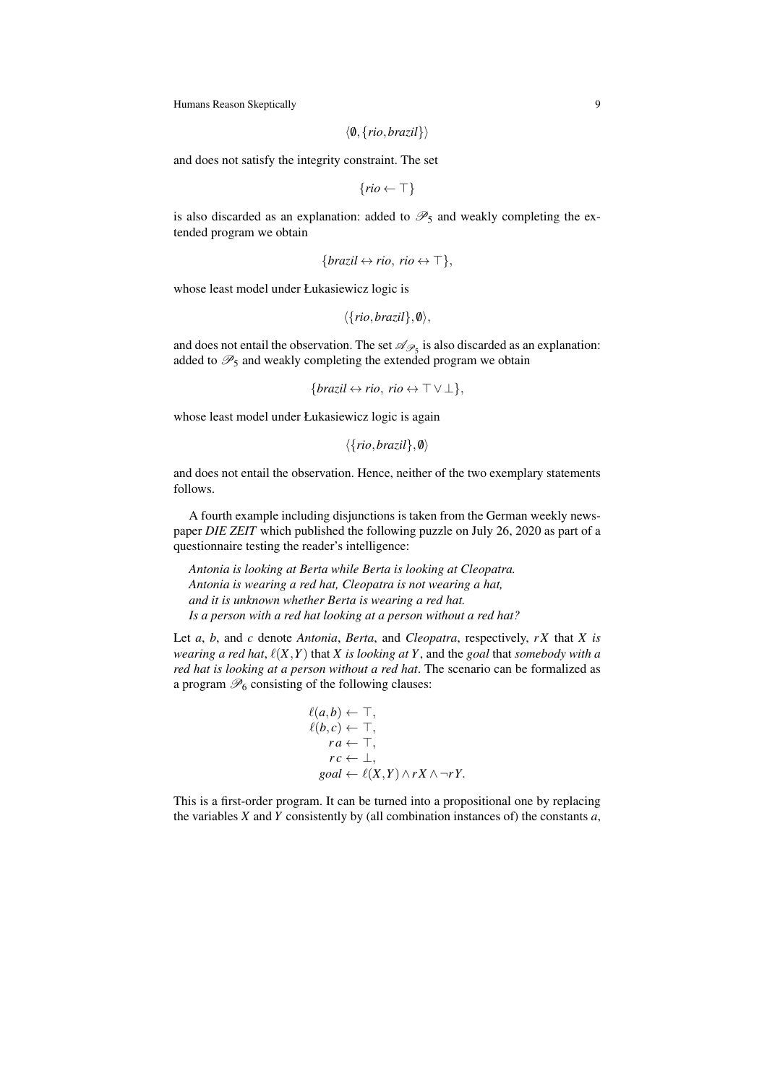$$
\langle \emptyset, \{rio, brazil\} \rangle
$$

and does not satisfy the integrity constraint. The set

 $\{rio \leftarrow \top\}$ 

is also discarded as an explanation: added to  $\mathcal{P}_5$  and weakly completing the extended program we obtain

$$
\{ \text{brazil} \leftrightarrow \text{rio}, \text{rio} \leftrightarrow \top \},
$$

whose least model under Łukasiewicz logic is

$$
\langle \{rio, brazil\}, \emptyset \rangle,
$$

and does not entail the observation. The set  $\mathscr{A}_{\mathscr{P}_5}$  is also discarded as an explanation: added to  $\mathcal{P}_5$  and weakly completing the extended program we obtain

```
{ \frac{\{bra\} \leftrightarrow r}{\phi}, \quad r}{ \Rightarrow \top \lor \bot },
```
whose least model under Łukasiewicz logic is again

```
\langle \{rio, brazil\}, \emptyset \rangle
```
and does not entail the observation. Hence, neither of the two exemplary statements follows.

A fourth example including disjunctions is taken from the German weekly newspaper *DIE ZEIT* which published the following puzzle on July 26, 2020 as part of a questionnaire testing the reader's intelligence:

*Antonia is looking at Berta while Berta is looking at Cleopatra. Antonia is wearing a red hat, Cleopatra is not wearing a hat, and it is unknown whether Berta is wearing a red hat. Is a person with a red hat looking at a person without a red hat?*

Let *a*, *b*, and *c* denote *Antonia*, *Berta*, and *Cleopatra*, respectively, *r X* that *X is wearing a red hat,*  $\ell(X,Y)$  that *X is looking at Y*, and the *goal* that *somebody with a red hat is looking at a person without a red hat*. The scenario can be formalized as a program  $\mathcal{P}_6$  consisting of the following clauses:

$$
\ell(a,b) \leftarrow \top, \ell(b,c) \leftarrow \top, \nra \leftarrow \top, \nr c \leftarrow \bot, \ngoa l \leftarrow \ell(X,Y) \land r X \land \neg r Y.
$$

This is a first-order program. It can be turned into a propositional one by replacing the variables *X* and *Y* consistently by (all combination instances of) the constants *a*,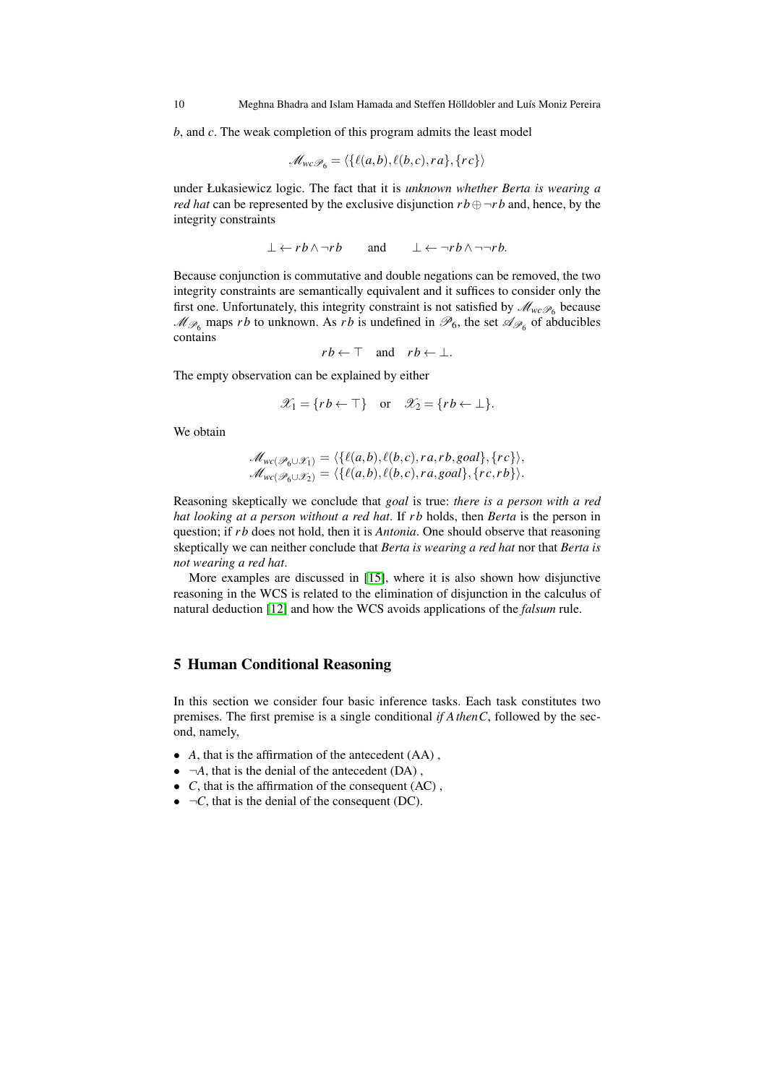*b*, and *c*. The weak completion of this program admits the least model

$$
\mathscr{M}_{wc}\mathscr{P}_6 = \langle \{\ell(a,b), \ell(b,c), ra\}, \{rc\}\rangle
$$

under Łukasiewicz logic. The fact that it is *unknown whether Berta is wearing a red hat* can be represented by the exclusive disjunction  $rb \oplus \neg rb$  and, hence, by the integrity constraints

$$
\bot \leftarrow rb \land \neg rb \qquad \text{and} \qquad \bot \leftarrow \neg rb \land \neg \neg rb.
$$

Because conjunction is commutative and double negations can be removed, the two integrity constraints are semantically equivalent and it suffices to consider only the first one. Unfortunately, this integrity constraint is not satisfied by  $\mathcal{M}_{wc\mathcal{P}_6}$  because  $M_{\mathscr{P}_6}$  maps *rb* to unknown. As *rb* is undefined in  $\mathscr{P}_6$ , the set  $\mathscr{A}_{\mathscr{P}_6}$  of abducibles contains

 $rb \leftarrow \top$  and  $rb \leftarrow \bot$ .

The empty observation can be explained by either

$$
\mathscr{X}_1 = \{ rb \leftarrow \top \} \quad \text{or} \quad \mathscr{X}_2 = \{ rb \leftarrow \bot \}.
$$

We obtain

$$
\mathcal{M}_{wc(\mathscr{P}_6\cup\mathscr{X}_1)} = \langle \{ \ell(a,b), \ell(b,c), ra, rb, goal \}, \{ rc \} \rangle, \mathcal{M}_{wc(\mathscr{P}_6\cup\mathscr{X}_2)} = \langle \{ \ell(a,b), \ell(b,c), ra, goal \}, \{ rc, rb \} \rangle.
$$

Reasoning skeptically we conclude that *goal* is true: *there is a person with a red hat looking at a person without a red hat*. If *r b* holds, then *Berta* is the person in question; if *r b* does not hold, then it is *Antonia*. One should observe that reasoning skeptically we can neither conclude that *Berta is wearing a red hat* nor that *Berta is not wearing a red hat*.

More examples are discussed in [\[15\]](#page-30-9), where it is also shown how disjunctive reasoning in the WCS is related to the elimination of disjunction in the calculus of natural deduction [\[12\]](#page-30-10) and how the WCS avoids applications of the *falsum* rule.

### <span id="page-9-0"></span>5 Human Conditional Reasoning

In this section we consider four basic inference tasks. Each task constitutes two premises. The first premise is a single conditional *if AthenC*, followed by the second, namely,

- *A*, that is the affirmation of the antecedent (AA) ,
- $\bullet$   $\neg A$ , that is the denial of the antecedent (DA),
- *C*, that is the affirmation of the consequent (AC) ,
- $\bullet$   $\neg$ *C*, that is the denial of the consequent (DC).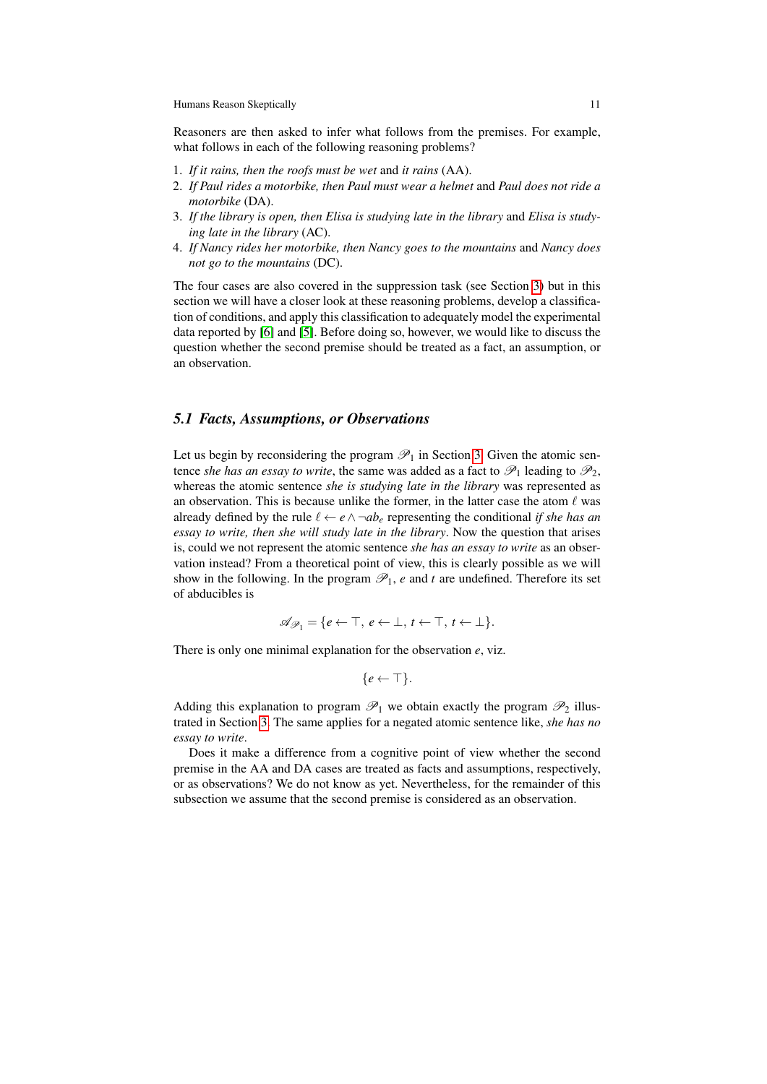Reasoners are then asked to infer what follows from the premises. For example, what follows in each of the following reasoning problems?

- 1. *If it rains, then the roofs must be wet* and *it rains* (AA).
- 2. *If Paul rides a motorbike, then Paul must wear a helmet* and *Paul does not ride a motorbike* (DA).
- 3. *If the library is open, then Elisa is studying late in the library* and *Elisa is studying late in the library* (AC).
- 4. *If Nancy rides her motorbike, then Nancy goes to the mountains* and *Nancy does not go to the mountains* (DC).

The four cases are also covered in the suppression task (see Section [3\)](#page-3-0) but in this section we will have a closer look at these reasoning problems, develop a classification of conditions, and apply this classification to adequately model the experimental data reported by [\[6\]](#page-30-11) and [\[5\]](#page-30-12). Before doing so, however, we would like to discuss the question whether the second premise should be treated as a fact, an assumption, or an observation.

### *5.1 Facts, Assumptions, or Observations*

Let us begin by reconsidering the program  $\mathcal{P}_1$  in Section [3.](#page-3-0) Given the atomic sentence *she has an essay to write*, the same was added as a fact to  $\mathcal{P}_1$  leading to  $\mathcal{P}_2$ , whereas the atomic sentence *she is studying late in the library* was represented as an observation. This is because unlike the former, in the latter case the atom  $\ell$  was already defined by the rule  $\ell \leftarrow e \land \neg ab_e$  representing the conditional *if she has an essay to write, then she will study late in the library*. Now the question that arises is, could we not represent the atomic sentence *she has an essay to write* as an observation instead? From a theoretical point of view, this is clearly possible as we will show in the following. In the program  $\mathcal{P}_1$ , *e* and *t* are undefined. Therefore its set of abducibles is

$$
\mathscr{A}_{\mathscr{P}_1} = \{e \leftarrow \top, e \leftarrow \bot, t \leftarrow \top, t \leftarrow \bot\}.
$$

There is only one minimal explanation for the observation *e*, viz.

$$
\{e \leftarrow \top\}.
$$

Adding this explanation to program  $\mathcal{P}_1$  we obtain exactly the program  $\mathcal{P}_2$  illustrated in Section [3.](#page-3-0) The same applies for a negated atomic sentence like, *she has no essay to write*.

Does it make a difference from a cognitive point of view whether the second premise in the AA and DA cases are treated as facts and assumptions, respectively, or as observations? We do not know as yet. Nevertheless, for the remainder of this subsection we assume that the second premise is considered as an observation.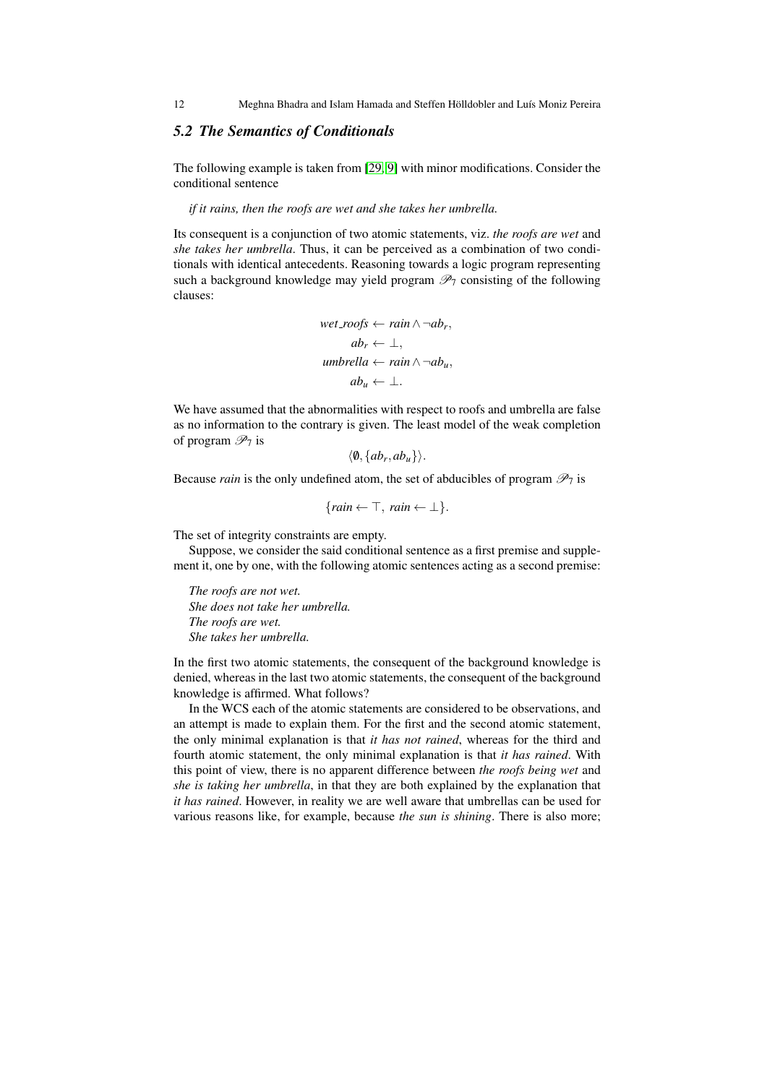12 Meghna Bhadra and Islam Hamada and Steffen Hölldobler and Luís Moniz Pereira

# *5.2 The Semantics of Conditionals*

The following example is taken from [\[29,](#page-31-8) [9\]](#page-30-13) with minor modifications. Consider the conditional sentence

*if it rains, then the roofs are wet and she takes her umbrella.*

Its consequent is a conjunction of two atomic statements, viz. *the roofs are wet* and *she takes her umbrella*. Thus, it can be perceived as a combination of two conditionals with identical antecedents. Reasoning towards a logic program representing such a background knowledge may yield program  $\mathcal{P}_7$  consisting of the following clauses:

$$
\begin{aligned}\n\text{wet\_roofs} &\leftarrow \text{rain} \land \neg \text{ab}_r, \\
\text{ab}_r &\leftarrow \bot, \\
\text{umbrella} &\leftarrow \text{rain} \land \neg \text{ab}_u, \\
\text{ab}_u &\leftarrow \bot.\n\end{aligned}
$$

We have assumed that the abnormalities with respect to roofs and umbrella are false as no information to the contrary is given. The least model of the weak completion of program  $\mathscr{P}_7$  is

$$
\langle \emptyset, \{ab_r, ab_u\} \rangle.
$$

Because *rain* is the only undefined atom, the set of abducibles of program  $\mathcal{P}_7$  is

 ${train \leftarrow \top, rain \leftarrow \bot}.$ 

The set of integrity constraints are empty.

Suppose, we consider the said conditional sentence as a first premise and supplement it, one by one, with the following atomic sentences acting as a second premise:

*The roofs are not wet. She does not take her umbrella. The roofs are wet. She takes her umbrella.*

In the first two atomic statements, the consequent of the background knowledge is denied, whereas in the last two atomic statements, the consequent of the background knowledge is affirmed. What follows?

In the WCS each of the atomic statements are considered to be observations, and an attempt is made to explain them. For the first and the second atomic statement, the only minimal explanation is that *it has not rained*, whereas for the third and fourth atomic statement, the only minimal explanation is that *it has rained*. With this point of view, there is no apparent difference between *the roofs being wet* and *she is taking her umbrella*, in that they are both explained by the explanation that *it has rained*. However, in reality we are well aware that umbrellas can be used for various reasons like, for example, because *the sun is shining*. There is also more;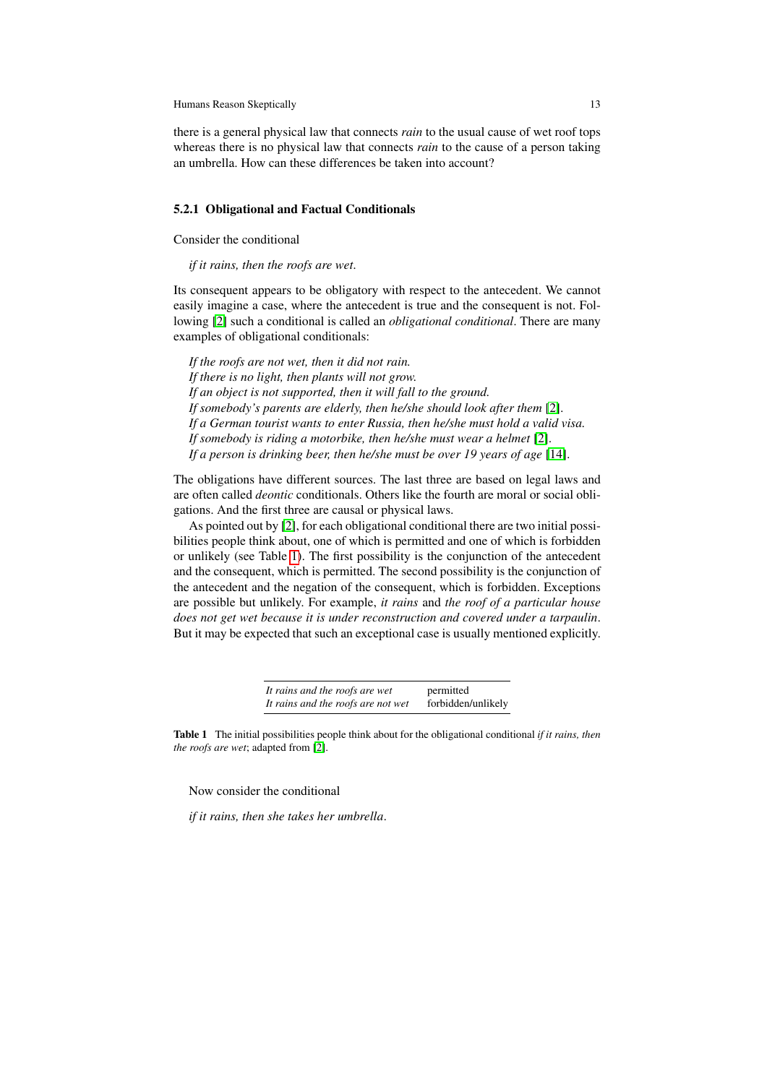there is a general physical law that connects *rain* to the usual cause of wet roof tops whereas there is no physical law that connects *rain* to the cause of a person taking an umbrella. How can these differences be taken into account?

#### 5.2.1 Obligational and Factual Conditionals

Consider the conditional

*if it rains, then the roofs are wet*.

Its consequent appears to be obligatory with respect to the antecedent. We cannot easily imagine a case, where the antecedent is true and the consequent is not. Following [\[2\]](#page-30-14) such a conditional is called an *obligational conditional*. There are many examples of obligational conditionals:

*If the roofs are not wet, then it did not rain. If there is no light, then plants will not grow. If an object is not supported, then it will fall to the ground. If somebody's parents are elderly, then he/she should look after them* [\[2\]](#page-30-14). *If a German tourist wants to enter Russia, then he/she must hold a valid visa. If somebody is riding a motorbike, then he/she must wear a helmet* [\[2\]](#page-30-14). *If a person is drinking beer, then he/she must be over 19 years of age* [\[14\]](#page-30-15).

The obligations have different sources. The last three are based on legal laws and are often called *deontic* conditionals. Others like the fourth are moral or social obligations. And the first three are causal or physical laws.

As pointed out by [\[2\]](#page-30-14), for each obligational conditional there are two initial possibilities people think about, one of which is permitted and one of which is forbidden or unlikely (see Table [1\)](#page-12-0). The first possibility is the conjunction of the antecedent and the consequent, which is permitted. The second possibility is the conjunction of the antecedent and the negation of the consequent, which is forbidden. Exceptions are possible but unlikely. For example, *it rains* and *the roof of a particular house does not get wet because it is under reconstruction and covered under a tarpaulin*. But it may be expected that such an exceptional case is usually mentioned explicitly.

> *It rains and the roofs are wet* permitted *It rains and the roofs are not wet* forbidden/unlikely

<span id="page-12-0"></span>Table 1 The initial possibilities people think about for the obligational conditional *if it rains, then the roofs are wet*; adapted from [\[2\]](#page-30-14).

Now consider the conditional

*if it rains, then she takes her umbrella*.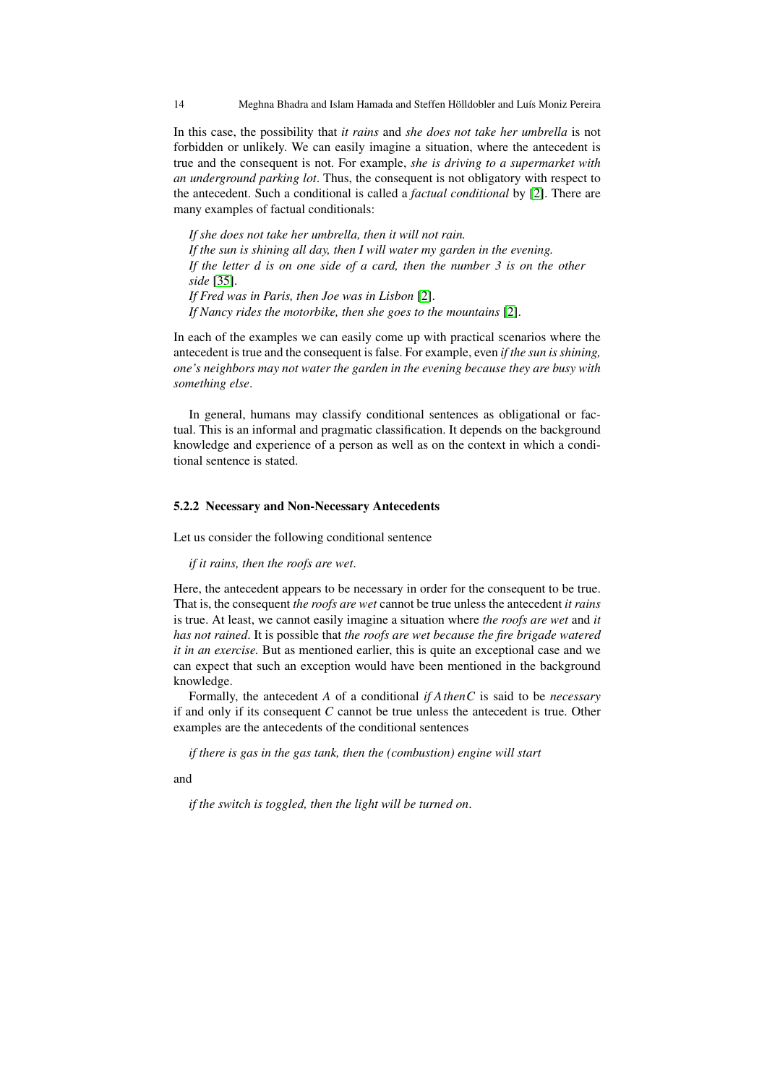In this case, the possibility that *it rains* and *she does not take her umbrella* is not forbidden or unlikely. We can easily imagine a situation, where the antecedent is true and the consequent is not. For example, *she is driving to a supermarket with an underground parking lot*. Thus, the consequent is not obligatory with respect to the antecedent. Such a conditional is called a *factual conditional* by [\[2\]](#page-30-14). There are many examples of factual conditionals:

*If she does not take her umbrella, then it will not rain. If the sun is shining all day, then I will water my garden in the evening. If the letter d is on one side of a card, then the number 3 is on the other side* [\[35\]](#page-31-9). *If Fred was in Paris, then Joe was in Lisbon* [\[2\]](#page-30-14). *If Nancy rides the motorbike, then she goes to the mountains* [\[2\]](#page-30-14).

In each of the examples we can easily come up with practical scenarios where the antecedent is true and the consequent is false. For example, even *if the sun is shining, one's neighbors may not water the garden in the evening because they are busy with something else*.

In general, humans may classify conditional sentences as obligational or factual. This is an informal and pragmatic classification. It depends on the background knowledge and experience of a person as well as on the context in which a conditional sentence is stated.

#### 5.2.2 Necessary and Non-Necessary Antecedents

Let us consider the following conditional sentence

*if it rains, then the roofs are wet*.

Here, the antecedent appears to be necessary in order for the consequent to be true. That is, the consequent *the roofs are wet* cannot be true unless the antecedent *it rains* is true. At least, we cannot easily imagine a situation where *the roofs are wet* and *it has not rained*. It is possible that *the roofs are wet because the fire brigade watered it in an exercise.* But as mentioned earlier, this is quite an exceptional case and we can expect that such an exception would have been mentioned in the background knowledge.

Formally, the antecedent *A* of a conditional *if AthenC* is said to be *necessary* if and only if its consequent *C* cannot be true unless the antecedent is true. Other examples are the antecedents of the conditional sentences

*if there is gas in the gas tank, then the (combustion) engine will start*

and

*if the switch is toggled, then the light will be turned on*.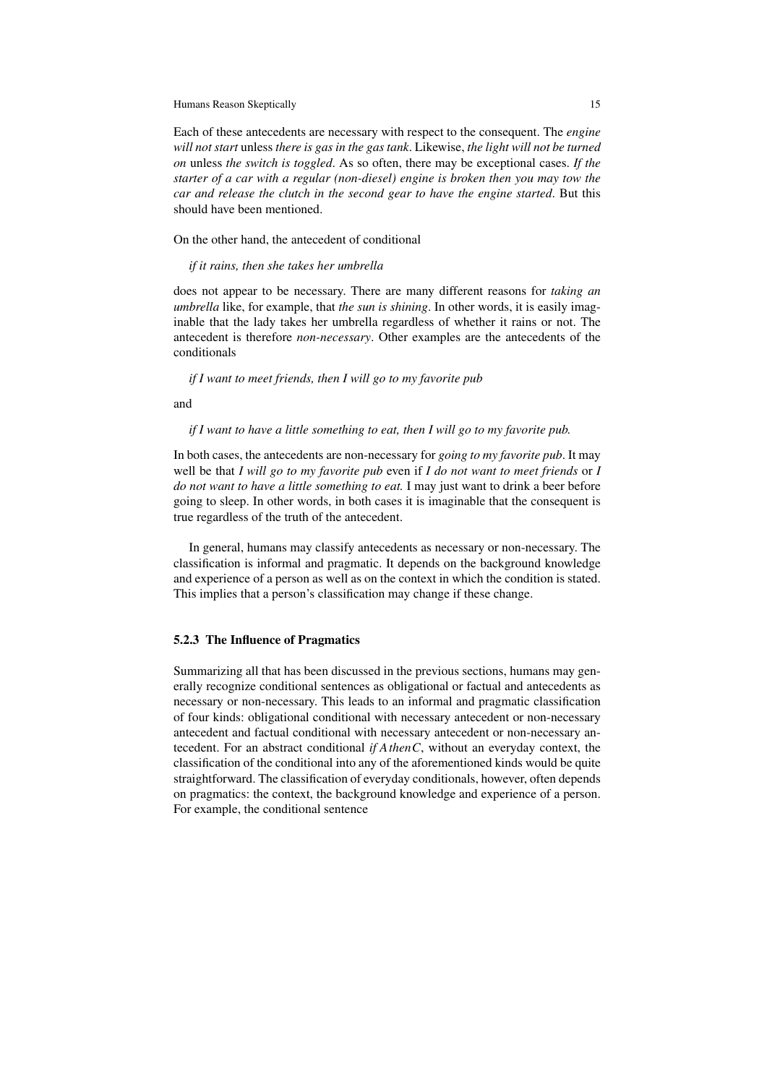Each of these antecedents are necessary with respect to the consequent. The *engine will not start* unless *there is gas in the gas tank*. Likewise, *the light will not be turned on* unless *the switch is toggled*. As so often, there may be exceptional cases. *If the starter of a car with a regular (non-diesel) engine is broken then you may tow the car and release the clutch in the second gear to have the engine started*. But this should have been mentioned.

On the other hand, the antecedent of conditional

*if it rains, then she takes her umbrella*

does not appear to be necessary. There are many different reasons for *taking an umbrella* like, for example, that *the sun is shining*. In other words, it is easily imaginable that the lady takes her umbrella regardless of whether it rains or not. The antecedent is therefore *non-necessary*. Other examples are the antecedents of the conditionals

*if I want to meet friends, then I will go to my favorite pub*

and

#### *if I want to have a little something to eat, then I will go to my favorite pub.*

In both cases, the antecedents are non-necessary for *going to my favorite pub*. It may well be that *I will go to my favorite pub* even if *I do not want to meet friends* or *I do not want to have a little something to eat.* I may just want to drink a beer before going to sleep. In other words, in both cases it is imaginable that the consequent is true regardless of the truth of the antecedent.

In general, humans may classify antecedents as necessary or non-necessary. The classification is informal and pragmatic. It depends on the background knowledge and experience of a person as well as on the context in which the condition is stated. This implies that a person's classification may change if these change.

#### 5.2.3 The Influence of Pragmatics

Summarizing all that has been discussed in the previous sections, humans may generally recognize conditional sentences as obligational or factual and antecedents as necessary or non-necessary. This leads to an informal and pragmatic classification of four kinds: obligational conditional with necessary antecedent or non-necessary antecedent and factual conditional with necessary antecedent or non-necessary antecedent. For an abstract conditional *if AthenC*, without an everyday context, the classification of the conditional into any of the aforementioned kinds would be quite straightforward. The classification of everyday conditionals, however, often depends on pragmatics: the context, the background knowledge and experience of a person. For example, the conditional sentence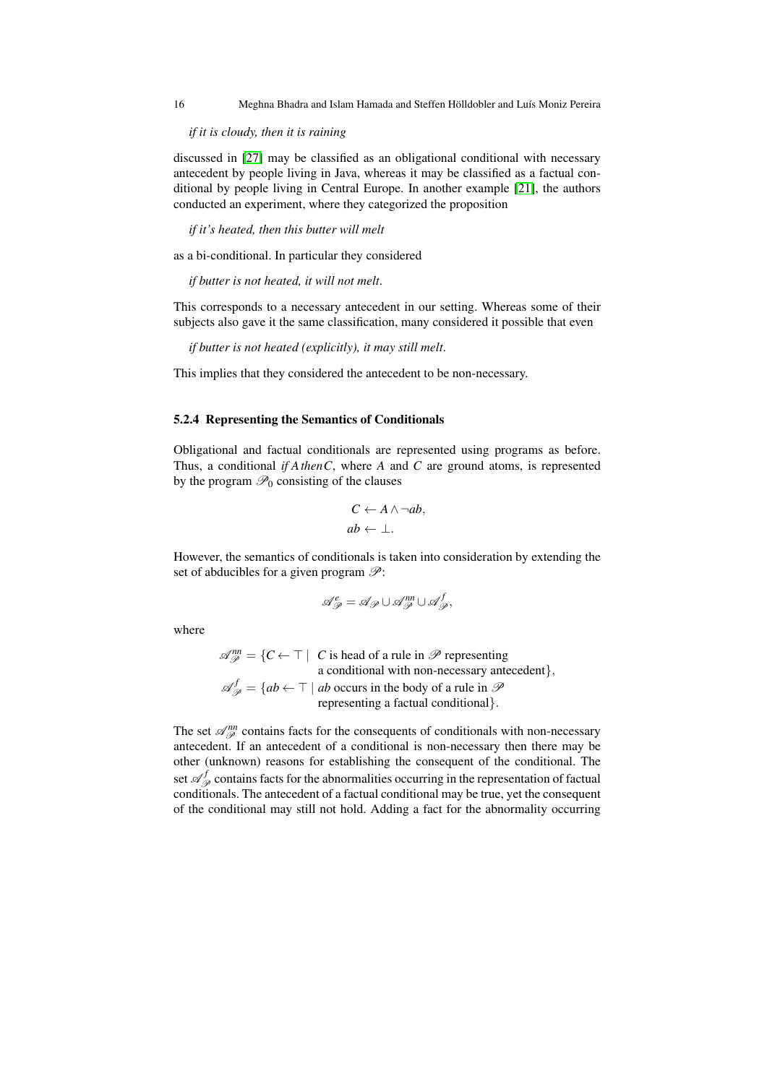16 Meghna Bhadra and Islam Hamada and Steffen Hölldobler and Luís Moniz Pereira

*if it is cloudy, then it is raining*

discussed in [\[27\]](#page-31-5) may be classified as an obligational conditional with necessary antecedent by people living in Java, whereas it may be classified as a factual conditional by people living in Central Europe. In another example [\[21\]](#page-30-8), the authors conducted an experiment, where they categorized the proposition

*if it's heated, then this butter will melt*

as a bi-conditional. In particular they considered

*if butter is not heated, it will not melt*.

This corresponds to a necessary antecedent in our setting. Whereas some of their subjects also gave it the same classification, many considered it possible that even

*if butter is not heated (explicitly), it may still melt*.

This implies that they considered the antecedent to be non-necessary.

#### 5.2.4 Representing the Semantics of Conditionals

Obligational and factual conditionals are represented using programs as before. Thus, a conditional *if AthenC*, where *A* and *C* are ground atoms, is represented by the program  $\mathcal{P}_0$  consisting of the clauses

$$
C \leftarrow A \land \neg ab,
$$
  

$$
ab \leftarrow \perp.
$$

However, the semantics of conditionals is taken into consideration by extending the set of abducibles for a given program  $\mathcal{P}$ :

$$
\mathscr{A}_{\mathscr{P}}^e = \mathscr{A}_{\mathscr{P}} \cup \mathscr{A}_{\mathscr{P}}^{nn} \cup \mathscr{A}_{\mathscr{P}}^f,
$$

where

 $\mathscr{A}_{\mathscr{P}}^{nn} = \{C \leftarrow \top \mid C \text{ is head of a rule in } \mathscr{P} \text{ representing }$ a conditional with non-necessary antecedent},  $\mathscr{A}_{\mathscr{P}}^f = \{ ab \leftarrow \top \mid ab \text{ occurs in the body of a rule in } \mathscr{P}$ representing a factual conditional}.

The set  $\mathcal{A}_{\mathcal{P}}^{nn}$  contains facts for the consequents of conditionals with non-necessary antecedent. If an antecedent of a conditional is non-necessary then there may be other (unknown) reasons for establishing the consequent of the conditional. The set  $\mathscr{A}_{\mathscr{P}}^f$  contains facts for the abnormalities occurring in the representation of factual conditionals. The antecedent of a factual conditional may be true, yet the consequent of the conditional may still not hold. Adding a fact for the abnormality occurring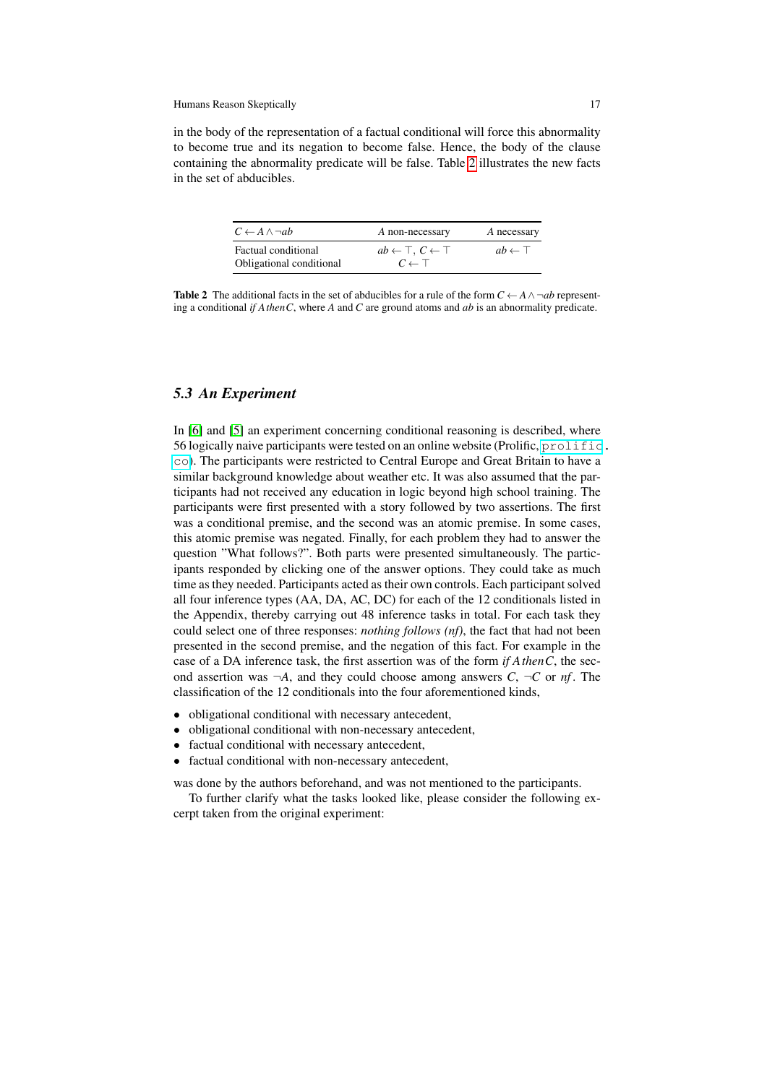in the body of the representation of a factual conditional will force this abnormality to become true and its negation to become false. Hence, the body of the clause containing the abnormality predicate will be false. Table [2](#page-16-0) illustrates the new facts in the set of abducibles.

| $C \leftarrow A \land \neg ab$                  | A non-necessary                                                | A necessary          |
|-------------------------------------------------|----------------------------------------------------------------|----------------------|
| Factual conditional<br>Obligational conditional | $ab \leftarrow \top, C \leftarrow \top$<br>$C \leftarrow \top$ | $ab \leftarrow \top$ |

<span id="page-16-0"></span>**Table 2** The additional facts in the set of abducibles for a rule of the form  $C \leftarrow A \land \neg ab$  representing a conditional *if AthenC*, where *A* and *C* are ground atoms and *ab* is an abnormality predicate.

### *5.3 An Experiment*

In [\[6\]](#page-30-11) and [\[5\]](#page-30-12) an experiment concerning conditional reasoning is described, where 56 logically naive participants were tested on an online website (Prolific, [prolific](prolific.co). [co](prolific.co)). The participants were restricted to Central Europe and Great Britain to have a similar background knowledge about weather etc. It was also assumed that the participants had not received any education in logic beyond high school training. The participants were first presented with a story followed by two assertions. The first was a conditional premise, and the second was an atomic premise. In some cases, this atomic premise was negated. Finally, for each problem they had to answer the question "What follows?". Both parts were presented simultaneously. The participants responded by clicking one of the answer options. They could take as much time as they needed. Participants acted as their own controls. Each participant solved all four inference types (AA, DA, AC, DC) for each of the 12 conditionals listed in the Appendix, thereby carrying out 48 inference tasks in total. For each task they could select one of three responses: *nothing follows (nf)*, the fact that had not been presented in the second premise, and the negation of this fact. For example in the case of a DA inference task, the first assertion was of the form *if AthenC*, the second assertion was  $\neg A$ , and they could choose among answers *C*,  $\neg C$  or *nf*. The classification of the 12 conditionals into the four aforementioned kinds,

- obligational conditional with necessary antecedent,
- obligational conditional with non-necessary antecedent,
- factual conditional with necessary antecedent.
- factual conditional with non-necessary antecedent,

was done by the authors beforehand, and was not mentioned to the participants.

To further clarify what the tasks looked like, please consider the following excerpt taken from the original experiment: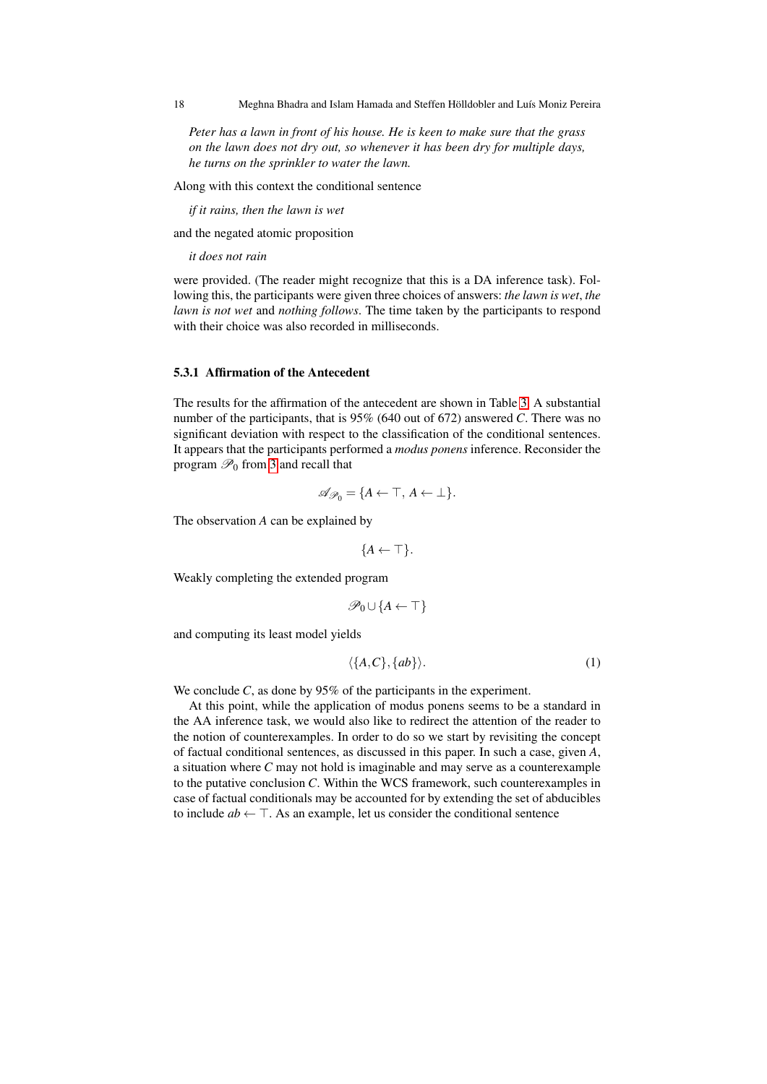18 Meghna Bhadra and Islam Hamada and Steffen Hölldobler and Luís Moniz Pereira

*Peter has a lawn in front of his house. He is keen to make sure that the grass on the lawn does not dry out, so whenever it has been dry for multiple days, he turns on the sprinkler to water the lawn.*

Along with this context the conditional sentence

*if it rains, then the lawn is wet*

and the negated atomic proposition

*it does not rain*

were provided. (The reader might recognize that this is a DA inference task). Following this, the participants were given three choices of answers: *the lawn is wet*, *the lawn is not wet* and *nothing follows*. The time taken by the participants to respond with their choice was also recorded in milliseconds.

### 5.3.1 Affirmation of the Antecedent

The results for the affirmation of the antecedent are shown in Table [3.](#page-18-0) A substantial number of the participants, that is 95% (640 out of 672) answered *C*. There was no significant deviation with respect to the classification of the conditional sentences. It appears that the participants performed a *modus ponens* inference. Reconsider the program  $\mathcal{P}_0$  from [3](#page-2-0) and recall that

$$
\mathscr{A}_{\mathscr{P}_0} = \{ A \leftarrow \top, A \leftarrow \bot \}.
$$

The observation *A* can be explained by

$$
\{A \leftarrow \top\}.
$$

Weakly completing the extended program

$$
\mathscr{P}_0\cup\{A\leftarrow\top\}
$$

and computing its least model yields

$$
\langle \{A, C\}, \{ab\} \rangle. \tag{1}
$$

We conclude *C*, as done by 95% of the participants in the experiment.

At this point, while the application of modus ponens seems to be a standard in the AA inference task, we would also like to redirect the attention of the reader to the notion of counterexamples. In order to do so we start by revisiting the concept of factual conditional sentences, as discussed in this paper. In such a case, given *A*, a situation where *C* may not hold is imaginable and may serve as a counterexample to the putative conclusion *C*. Within the WCS framework, such counterexamples in case of factual conditionals may be accounted for by extending the set of abducibles to include  $ab \leftarrow \top$ . As an example, let us consider the conditional sentence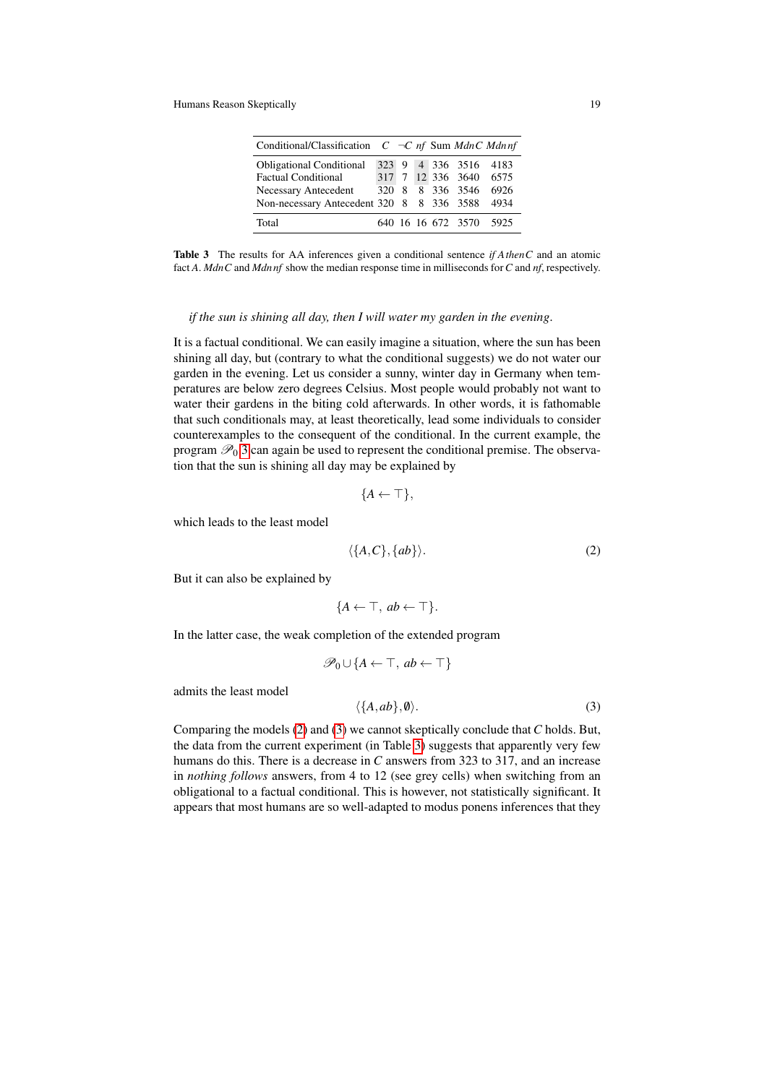| Conditional/Classification $C \neg C$ nf Sum MdnC Mdnnf |  |  |                         |      |
|---------------------------------------------------------|--|--|-------------------------|------|
| <b>Obligational Conditional</b>                         |  |  | 323 9 4 336 3516 4183   |      |
| <b>Factual Conditional</b>                              |  |  | 317 7 12 336 3640 6575  |      |
| Necessary Antecedent                                    |  |  | 320 8 8 336 3546        | 6926 |
| Non-necessary Antecedent 320 8 8 336 3588               |  |  |                         | 4934 |
| Total                                                   |  |  | 640 16 16 672 3570 5925 |      |

<span id="page-18-0"></span>Table 3 The results for AA inferences given a conditional sentence *if AthenC* and an atomic fact *A*. *MdnC* and *Mdn nf* show the median response time in milliseconds for*C* and *nf*, respectively.

#### *if the sun is shining all day, then I will water my garden in the evening*.

It is a factual conditional. We can easily imagine a situation, where the sun has been shining all day, but (contrary to what the conditional suggests) we do not water our garden in the evening. Let us consider a sunny, winter day in Germany when temperatures are below zero degrees Celsius. Most people would probably not want to water their gardens in the biting cold afterwards. In other words, it is fathomable that such conditionals may, at least theoretically, lead some individuals to consider counterexamples to the consequent of the conditional. In the current example, the program  $\mathcal{P}_0$  [3](#page-2-0) can again be used to represent the conditional premise. The observation that the sun is shining all day may be explained by

$$
\{A \leftarrow \top\},\
$$

which leads to the least model

<span id="page-18-1"></span>
$$
\langle \{A, C\}, \{ab\} \rangle. \tag{2}
$$

But it can also be explained by

$$
\{A \leftarrow \top, ab \leftarrow \top\}.
$$

In the latter case, the weak completion of the extended program

$$
\mathscr{P}_0 \cup \{ A \leftarrow \top, \, ab \leftarrow \top \}
$$

admits the least model

<span id="page-18-2"></span>
$$
\langle \{A, ab\}, \emptyset \rangle. \tag{3}
$$

Comparing the models [\(2\)](#page-18-1) and [\(3\)](#page-18-2) we cannot skeptically conclude that *C* holds. But, the data from the current experiment (in Table [3\)](#page-18-0) suggests that apparently very few humans do this. There is a decrease in *C* answers from 323 to 317, and an increase in *nothing follows* answers, from 4 to 12 (see grey cells) when switching from an obligational to a factual conditional. This is however, not statistically significant. It appears that most humans are so well-adapted to modus ponens inferences that they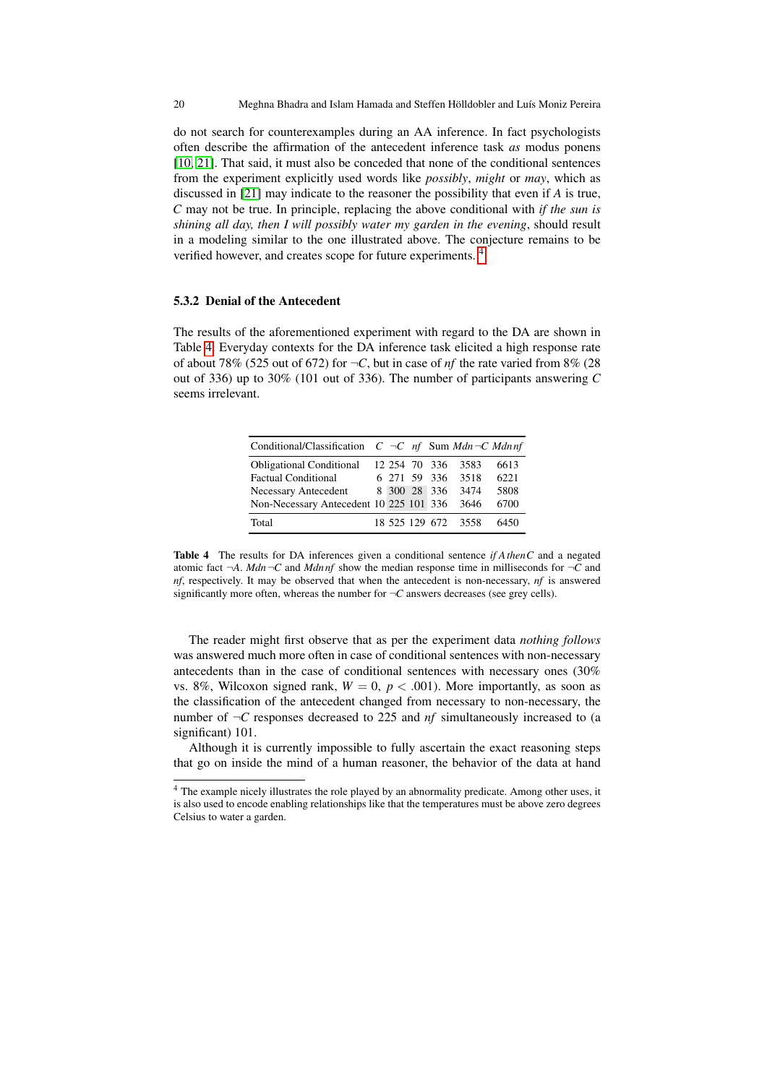do not search for counterexamples during an AA inference. In fact psychologists often describe the affirmation of the antecedent inference task *as* modus ponens [\[10,](#page-30-16) [21\]](#page-30-8). That said, it must also be conceded that none of the conditional sentences from the experiment explicitly used words like *possibly*, *might* or *may*, which as discussed in [\[21\]](#page-30-8) may indicate to the reasoner the possibility that even if *A* is true, *C* may not be true. In principle, replacing the above conditional with *if the sun is shining all day, then I will possibly water my garden in the evening*, should result in a modeling similar to the one illustrated above. The conjecture remains to be verified however, and creates scope for future experiments. [4](#page-19-0)

### 5.3.2 Denial of the Antecedent

The results of the aforementioned experiment with regard to the DA are shown in Table [4.](#page-19-1) Everyday contexts for the DA inference task elicited a high response rate of about 78% (525 out of 672) for  $\neg C$ , but in case of *nf* the rate varied from 8% (28) out of 336) up to 30% (101 out of 336). The number of participants answering *C* seems irrelevant.

| Conditional/Classification $C \neg C$ nf Sum Mdn $\neg C$ Mdnnf |  |               |                     |      |
|-----------------------------------------------------------------|--|---------------|---------------------|------|
| <b>Obligational Conditional</b>                                 |  | 12 254 70 336 | 3583                | 6613 |
| <b>Factual Conditional</b>                                      |  | 6 271 59 336  | 3518                | 6221 |
| Necessary Antecedent                                            |  | 8 300 28 336  | 3474                | 5808 |
| Non-Necessary Antecedent 10 225 101 336 3646                    |  |               |                     | 6700 |
| Total                                                           |  |               | 18 525 129 672 3558 | 6450 |

<span id="page-19-1"></span>Table 4 The results for DA inferences given a conditional sentence *if AthenC* and a negated atomic fact  $\neg A$ . *Mdn* $\neg C$  and *Mdnnf* show the median response time in milliseconds for  $\neg C$  and *nf*, respectively. It may be observed that when the antecedent is non-necessary, *nf* is answered significantly more often, whereas the number for  $\neg C$  answers decreases (see grey cells).

The reader might first observe that as per the experiment data *nothing follows* was answered much more often in case of conditional sentences with non-necessary antecedents than in the case of conditional sentences with necessary ones (30% vs. 8%. Wilcoxon signed rank,  $W = 0$ ,  $p < .001$ ). More importantly, as soon as the classification of the antecedent changed from necessary to non-necessary, the number of  $\neg C$  responses decreased to 225 and  $nf$  simultaneously increased to (a significant) 101.

Although it is currently impossible to fully ascertain the exact reasoning steps that go on inside the mind of a human reasoner, the behavior of the data at hand

<span id="page-19-0"></span><sup>4</sup> The example nicely illustrates the role played by an abnormality predicate. Among other uses, it is also used to encode enabling relationships like that the temperatures must be above zero degrees Celsius to water a garden.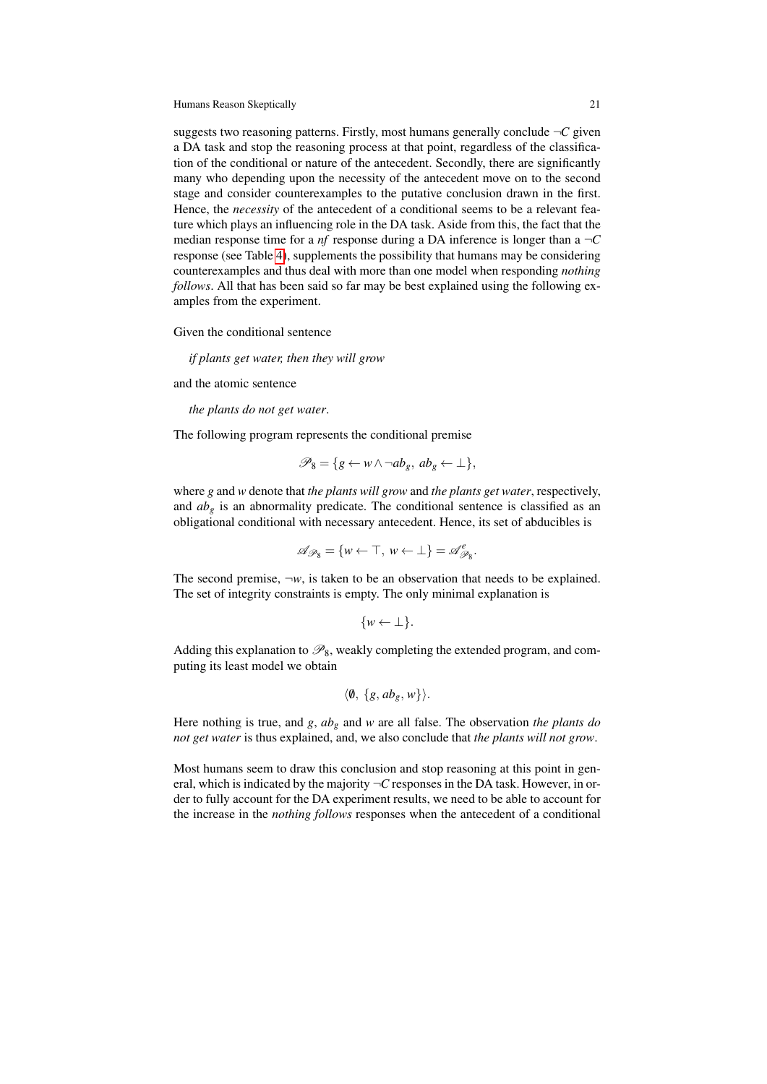suggests two reasoning patterns. Firstly, most humans generally conclude  $\neg C$  given a DA task and stop the reasoning process at that point, regardless of the classification of the conditional or nature of the antecedent. Secondly, there are significantly many who depending upon the necessity of the antecedent move on to the second stage and consider counterexamples to the putative conclusion drawn in the first. Hence, the *necessity* of the antecedent of a conditional seems to be a relevant feature which plays an influencing role in the DA task. Aside from this, the fact that the median response time for a  $nf$  response during a DA inference is longer than a  $\neg C$ response (see Table [4\)](#page-19-1), supplements the possibility that humans may be considering counterexamples and thus deal with more than one model when responding *nothing follows*. All that has been said so far may be best explained using the following examples from the experiment.

Given the conditional sentence

*if plants get water, then they will grow*

and the atomic sentence

*the plants do not get water*.

The following program represents the conditional premise

$$
\mathscr{P}_8 = \{ g \leftarrow w \land \neg ab_g, \, ab_g \leftarrow \bot \},
$$

where *g* and *w* denote that *the plants will grow* and *the plants get water*, respectively, and  $ab<sub>g</sub>$  is an abnormality predicate. The conditional sentence is classified as an obligational conditional with necessary antecedent. Hence, its set of abducibles is

$$
\mathscr{A}_{\mathscr{P}_8} = \{ w \leftarrow \top, w \leftarrow \bot \} = \mathscr{A}_{\mathscr{P}_8}^e.
$$

The second premise,  $\neg w$ , is taken to be an observation that needs to be explained. The set of integrity constraints is empty. The only minimal explanation is

$$
\{w \leftarrow \perp\}.
$$

Adding this explanation to  $\mathcal{P}_8$ , weakly completing the extended program, and computing its least model we obtain

$$
\langle \emptyset, \{g, ab_g, w\} \rangle.
$$

Here nothing is true, and *g*, *ab<sup>g</sup>* and *w* are all false. The observation *the plants do not get water* is thus explained, and, we also conclude that *the plants will not grow*.

Most humans seem to draw this conclusion and stop reasoning at this point in general, which is indicated by the majority  $\neg C$  responses in the DA task. However, in order to fully account for the DA experiment results, we need to be able to account for the increase in the *nothing follows* responses when the antecedent of a conditional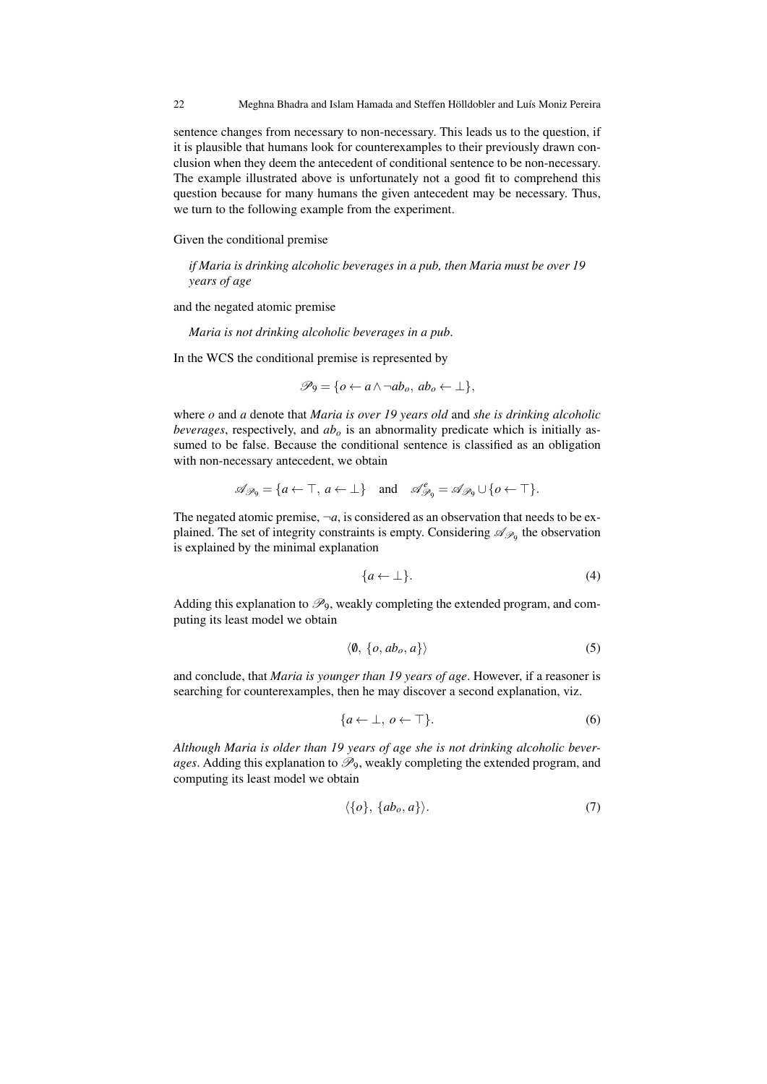22 Meghna Bhadra and Islam Hamada and Steffen Hölldobler and Luís Moniz Pereira

sentence changes from necessary to non-necessary. This leads us to the question, if it is plausible that humans look for counterexamples to their previously drawn conclusion when they deem the antecedent of conditional sentence to be non-necessary. The example illustrated above is unfortunately not a good fit to comprehend this question because for many humans the given antecedent may be necessary. Thus, we turn to the following example from the experiment.

Given the conditional premise

*if Maria is drinking alcoholic beverages in a pub, then Maria must be over 19 years of age*

and the negated atomic premise

*Maria is not drinking alcoholic beverages in a pub*.

In the WCS the conditional premise is represented by

$$
\mathscr{P}_9 = \{o \leftarrow a \land \neg ab_o, \, ab_o \leftarrow \bot\},\
$$

where *o* and *a* denote that *Maria is over 19 years old* and *she is drinking alcoholic beverages*, respectively, and *ab<sup>o</sup>* is an abnormality predicate which is initially assumed to be false. Because the conditional sentence is classified as an obligation with non-necessary antecedent, we obtain

$$
\mathscr{A}_{\mathscr{P}_9} = \{a \leftarrow \top, a \leftarrow \bot\} \quad \text{and} \quad \mathscr{A}_{\mathscr{P}_9}^e = \mathscr{A}_{\mathscr{P}_9} \cup \{o \leftarrow \top\}.
$$

The negated atomic premise,  $\neg a$ , is considered as an observation that needs to be explained. The set of integrity constraints is empty. Considering  $\mathscr{A}_{\mathscr{P}_9}$  the observation is explained by the minimal explanation

<span id="page-21-2"></span>
$$
\{a \leftarrow \bot\}.\tag{4}
$$

Adding this explanation to  $\mathcal{P}_9$ , weakly completing the extended program, and computing its least model we obtain

<span id="page-21-0"></span>
$$
\langle \emptyset, \{o, ab_o, a\} \rangle \tag{5}
$$

and conclude, that *Maria is younger than 19 years of age*. However, if a reasoner is searching for counterexamples, then he may discover a second explanation, viz.

<span id="page-21-3"></span>
$$
\{a \leftarrow \bot, \, o \leftarrow \top\}.\tag{6}
$$

*Although Maria is older than 19 years of age she is not drinking alcoholic beverages*. Adding this explanation to  $\mathcal{P}_9$ , weakly completing the extended program, and computing its least model we obtain

<span id="page-21-1"></span>
$$
\langle \{o\}, \{ab_o, a\} \rangle. \tag{7}
$$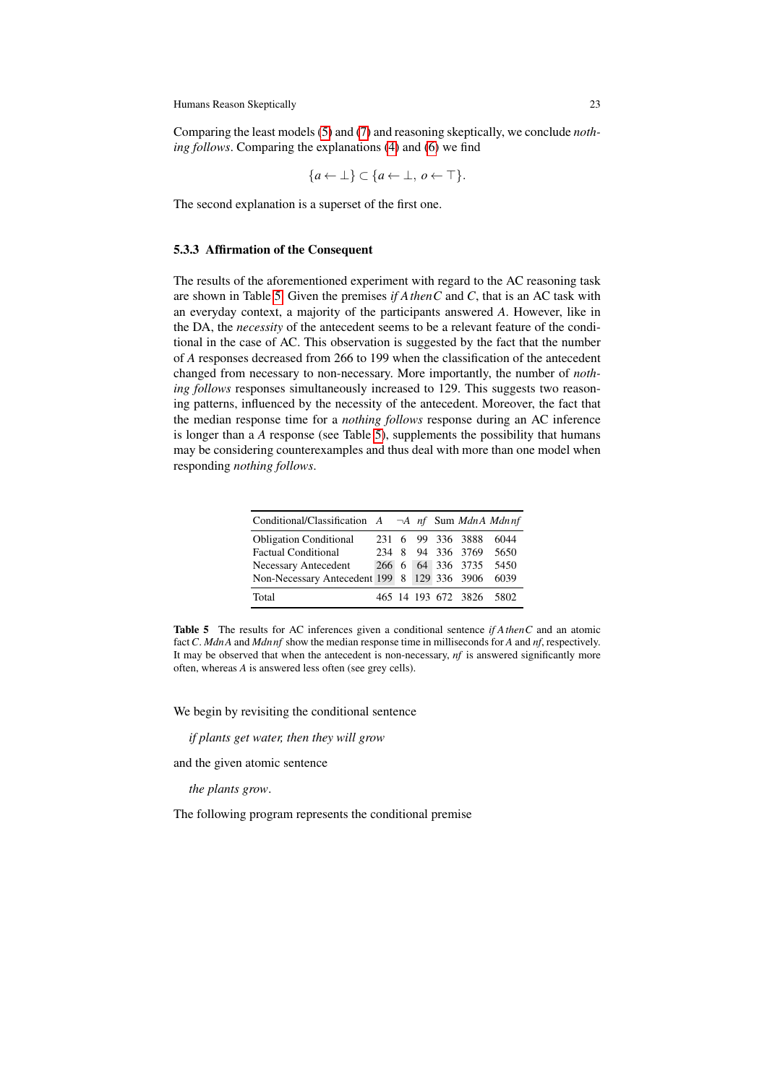Comparing the least models [\(5\)](#page-21-0) and [\(7\)](#page-21-1) and reasoning skeptically, we conclude *nothing follows*. Comparing the explanations [\(4\)](#page-21-2) and [\(6\)](#page-21-3) we find

$$
\{a \leftarrow \bot\} \subset \{a \leftarrow \bot, \, o \leftarrow \top\}.
$$

The second explanation is a superset of the first one.

### 5.3.3 Affirmation of the Consequent

The results of the aforementioned experiment with regard to the AC reasoning task are shown in Table [5.](#page-22-0) Given the premises *if AthenC* and *C*, that is an AC task with an everyday context, a majority of the participants answered *A*. However, like in the DA, the *necessity* of the antecedent seems to be a relevant feature of the conditional in the case of AC. This observation is suggested by the fact that the number of *A* responses decreased from 266 to 199 when the classification of the antecedent changed from necessary to non-necessary. More importantly, the number of *nothing follows* responses simultaneously increased to 129. This suggests two reasoning patterns, influenced by the necessity of the antecedent. Moreover, the fact that the median response time for a *nothing follows* response during an AC inference is longer than a *A* response (see Table [5\)](#page-22-0), supplements the possibility that humans may be considering counterexamples and thus deal with more than one model when responding *nothing follows*.

| Conditional/Classification $A \rightarrow A$ nf Sum MdnA Mdnnf |  |  |                          |      |
|----------------------------------------------------------------|--|--|--------------------------|------|
| <b>Obligation Conditional</b>                                  |  |  | 231 6 99 336 3888        | 6044 |
| <b>Factual Conditional</b>                                     |  |  | 234 8 94 336 3769 5650   |      |
| Necessary Antecedent                                           |  |  | 266 6 64 336 3735        | 5450 |
| Non-Necessary Antecedent 199 8 129 336 3906                    |  |  |                          | 6039 |
| Total                                                          |  |  | 465 14 193 672 3826 5802 |      |

<span id="page-22-0"></span>Table 5 The results for AC inferences given a conditional sentence *if AthenC* and an atomic fact*C*. *MdnA* and *Mdn nf* show the median response time in milliseconds for *A* and *nf*, respectively. It may be observed that when the antecedent is non-necessary, *nf* is answered significantly more often, whereas *A* is answered less often (see grey cells).

We begin by revisiting the conditional sentence

*if plants get water, then they will grow*

and the given atomic sentence

*the plants grow*.

The following program represents the conditional premise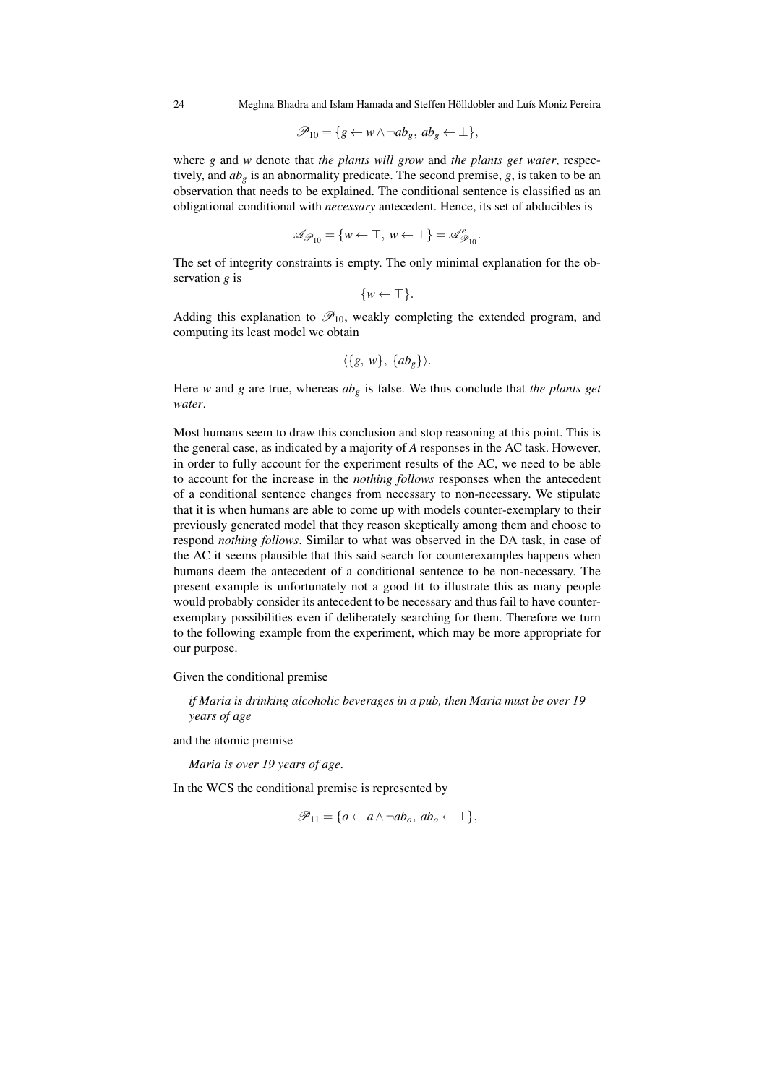24 Meghna Bhadra and Islam Hamada and Steffen Hölldobler and Luís Moniz Pereira

$$
\mathscr{P}_{10} = \{ g \leftarrow w \land \neg ab_g, \ ab_g \leftarrow \bot \},
$$

where *g* and *w* denote that *the plants will grow* and *the plants get water*, respectively, and  $ab_g$  is an abnormality predicate. The second premise,  $g$ , is taken to be an observation that needs to be explained. The conditional sentence is classified as an obligational conditional with *necessary* antecedent. Hence, its set of abducibles is

$$
\mathscr{A}_{\mathscr{P}_{10}} = \{w \leftarrow \top, w \leftarrow \bot\} = \mathscr{A}_{\mathscr{P}_{10}}^e.
$$

The set of integrity constraints is empty. The only minimal explanation for the observation *g* is

$$
\{w \leftarrow \top\}.
$$

Adding this explanation to  $\mathscr{P}_{10}$ , weakly completing the extended program, and computing its least model we obtain

$$
\langle \{g, w\}, \{ab_g\} \rangle.
$$

Here *w* and *g* are true, whereas *ab<sup>g</sup>* is false. We thus conclude that *the plants get water*.

Most humans seem to draw this conclusion and stop reasoning at this point. This is the general case, as indicated by a majority of *A* responses in the AC task. However, in order to fully account for the experiment results of the AC, we need to be able to account for the increase in the *nothing follows* responses when the antecedent of a conditional sentence changes from necessary to non-necessary. We stipulate that it is when humans are able to come up with models counter-exemplary to their previously generated model that they reason skeptically among them and choose to respond *nothing follows*. Similar to what was observed in the DA task, in case of the AC it seems plausible that this said search for counterexamples happens when humans deem the antecedent of a conditional sentence to be non-necessary. The present example is unfortunately not a good fit to illustrate this as many people would probably consider its antecedent to be necessary and thus fail to have counterexemplary possibilities even if deliberately searching for them. Therefore we turn to the following example from the experiment, which may be more appropriate for our purpose.

Given the conditional premise

*if Maria is drinking alcoholic beverages in a pub, then Maria must be over 19 years of age*

and the atomic premise

*Maria is over 19 years of age*.

In the WCS the conditional premise is represented by

$$
\mathscr{P}_{11} = \{o \leftarrow a \land \neg ab_o, \, ab_o \leftarrow \perp\},\
$$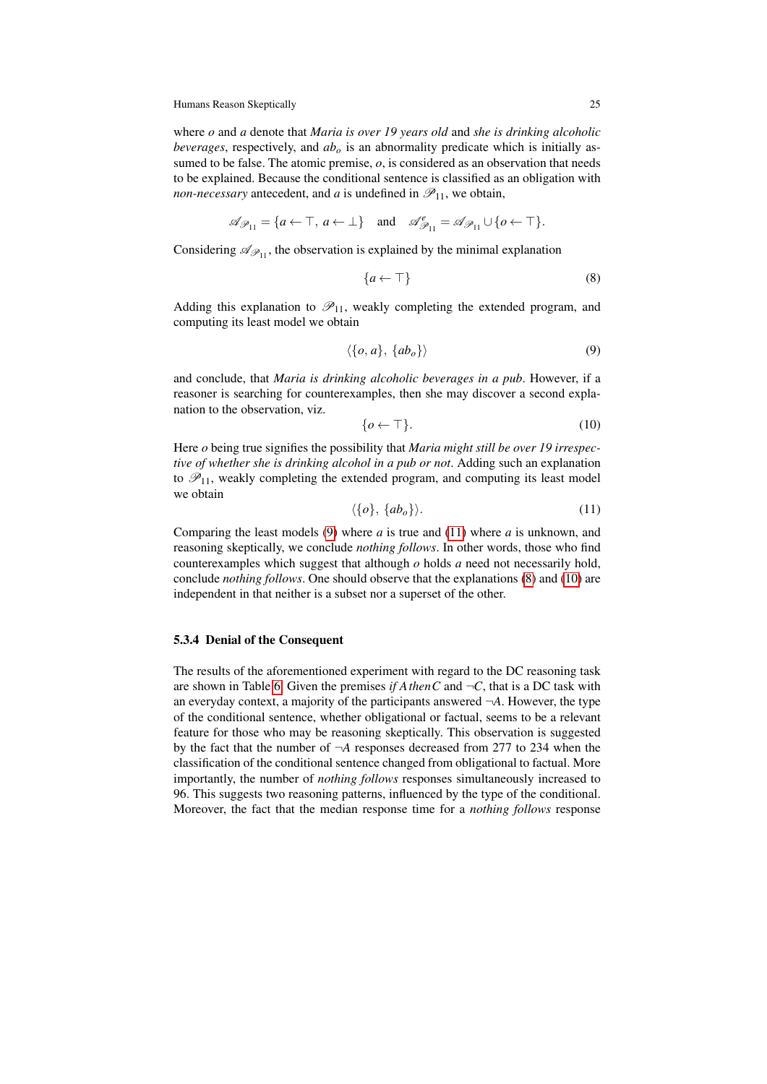where *o* and *a* denote that *Maria is over 19 years old* and *she is drinking alcoholic beverages*, respectively, and *ab<sup>o</sup>* is an abnormality predicate which is initially assumed to be false. The atomic premise, *o*, is considered as an observation that needs to be explained. Because the conditional sentence is classified as an obligation with *non-necessary* antecedent, and *a* is undefined in  $\mathcal{P}_{11}$ , we obtain,

$$
\mathscr{A}_{\mathscr{P}_{11}} = \{a \leftarrow \top,\, a \leftarrow \bot\} \quad \text{and} \quad \mathscr{A}_{\mathscr{P}_{11}}^e = \mathscr{A}_{\mathscr{P}_{11}} \cup \{o \leftarrow \top\}.
$$

Considering  $\mathscr{A}_{\mathscr{P}_{11}}$ , the observation is explained by the minimal explanation

<span id="page-24-2"></span>
$$
\{a \leftarrow \top\} \tag{8}
$$

Adding this explanation to  $\mathcal{P}_{11}$ , weakly completing the extended program, and computing its least model we obtain

<span id="page-24-0"></span>
$$
\langle \{o, a\}, \{ab_o\} \rangle \tag{9}
$$

and conclude, that *Maria is drinking alcoholic beverages in a pub*. However, if a reasoner is searching for counterexamples, then she may discover a second explanation to the observation, viz.

<span id="page-24-3"></span>
$$
\{\mathbf{0} \leftarrow \top\}.\tag{10}
$$

Here *o* being true signifies the possibility that *Maria might still be over 19 irrespective of whether she is drinking alcohol in a pub or not*. Adding such an explanation to  $\mathcal{P}_{11}$ , weakly completing the extended program, and computing its least model we obtain

<span id="page-24-1"></span>
$$
\langle \{o\}, \{ab_o\} \rangle. \tag{11}
$$

Comparing the least models [\(9\)](#page-24-0) where *a* is true and [\(11\)](#page-24-1) where *a* is unknown, and reasoning skeptically, we conclude *nothing follows*. In other words, those who find counterexamples which suggest that although *o* holds *a* need not necessarily hold, conclude *nothing follows*. One should observe that the explanations [\(8\)](#page-24-2) and [\(10\)](#page-24-3) are independent in that neither is a subset nor a superset of the other.

#### 5.3.4 Denial of the Consequent

The results of the aforementioned experiment with regard to the DC reasoning task are shown in Table [6.](#page-25-0) Given the premises *if A then C* and  $\neg C$ , that is a DC task with an everyday context, a majority of the participants answered  $\neg A$ . However, the type of the conditional sentence, whether obligational or factual, seems to be a relevant feature for those who may be reasoning skeptically. This observation is suggested by the fact that the number of ¬*A* responses decreased from 277 to 234 when the classification of the conditional sentence changed from obligational to factual. More importantly, the number of *nothing follows* responses simultaneously increased to 96. This suggests two reasoning patterns, influenced by the type of the conditional. Moreover, the fact that the median response time for a *nothing follows* response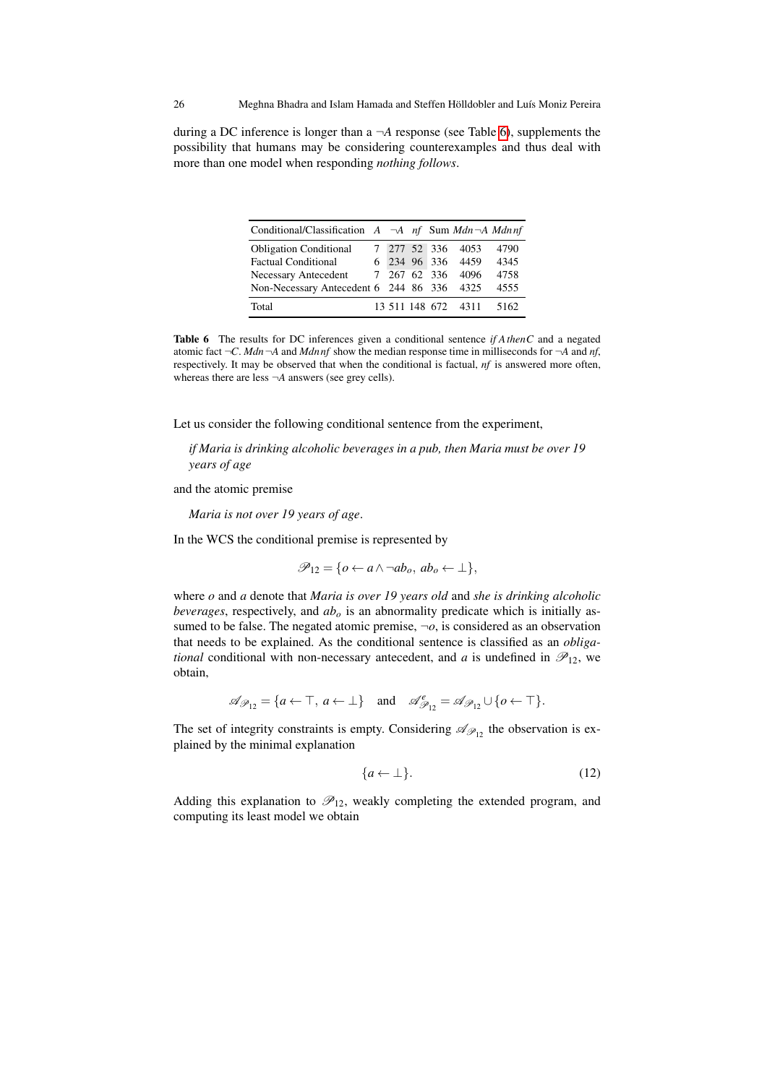during a DC inference is longer than a ¬*A* response (see Table [6\)](#page-25-0), supplements the possibility that humans may be considering counterexamples and thus deal with more than one model when responding *nothing follows*.

| Conditional/Classification $A \neg A$ nf Sum Mdn $\neg A$ Mdnnf |  |              |                     |      |
|-----------------------------------------------------------------|--|--------------|---------------------|------|
| <b>Obligation Conditional</b>                                   |  |              | 7 277 52 336 4053   | 4790 |
| <b>Factual Conditional</b>                                      |  |              | 6 234 96 336 4459   | 4345 |
| Necessary Antecedent                                            |  | 7 267 62 336 | 4096                | 4758 |
| Non-Necessary Antecedent 6 244 86 336 4325                      |  |              |                     | 4555 |
| Total                                                           |  |              | 13 511 148 672 4311 | 5162 |

<span id="page-25-0"></span>Table 6 The results for DC inferences given a conditional sentence *if AthenC* and a negated atomic fact ¬*C*. *Mdn*¬*A* and *Mdn nf* show the median response time in milliseconds for ¬*A* and *nf*, respectively. It may be observed that when the conditional is factual, *nf* is answered more often, whereas there are less ¬*A* answers (see grey cells).

Let us consider the following conditional sentence from the experiment,

*if Maria is drinking alcoholic beverages in a pub, then Maria must be over 19 years of age*

and the atomic premise

*Maria is not over 19 years of age*.

In the WCS the conditional premise is represented by

$$
\mathscr{P}_{12} = \{o \leftarrow a \land \neg ab_o, \, ab_o \leftarrow \bot\},\
$$

where *o* and *a* denote that *Maria is over 19 years old* and *she is drinking alcoholic beverages*, respectively, and *ab<sup>o</sup>* is an abnormality predicate which is initially assumed to be false. The negated atomic premise,  $\neg o$ , is considered as an observation that needs to be explained. As the conditional sentence is classified as an *obligational* conditional with non-necessary antecedent, and *a* is undefined in  $\mathcal{P}_{12}$ , we obtain,

$$
\mathscr{A}_{\mathscr{P}_{12}} = \{a \leftarrow \top, a \leftarrow \bot\} \quad \text{and} \quad \mathscr{A}_{\mathscr{P}_{12}}^e = \mathscr{A}_{\mathscr{P}_{12}} \cup \{o \leftarrow \top\}.
$$

The set of integrity constraints is empty. Considering  $\mathscr{A}_{\mathscr{P}_{12}}$  the observation is explained by the minimal explanation

$$
\{a \leftarrow \bot\}.\tag{12}
$$

Adding this explanation to  $\mathcal{P}_{12}$ , weakly completing the extended program, and computing its least model we obtain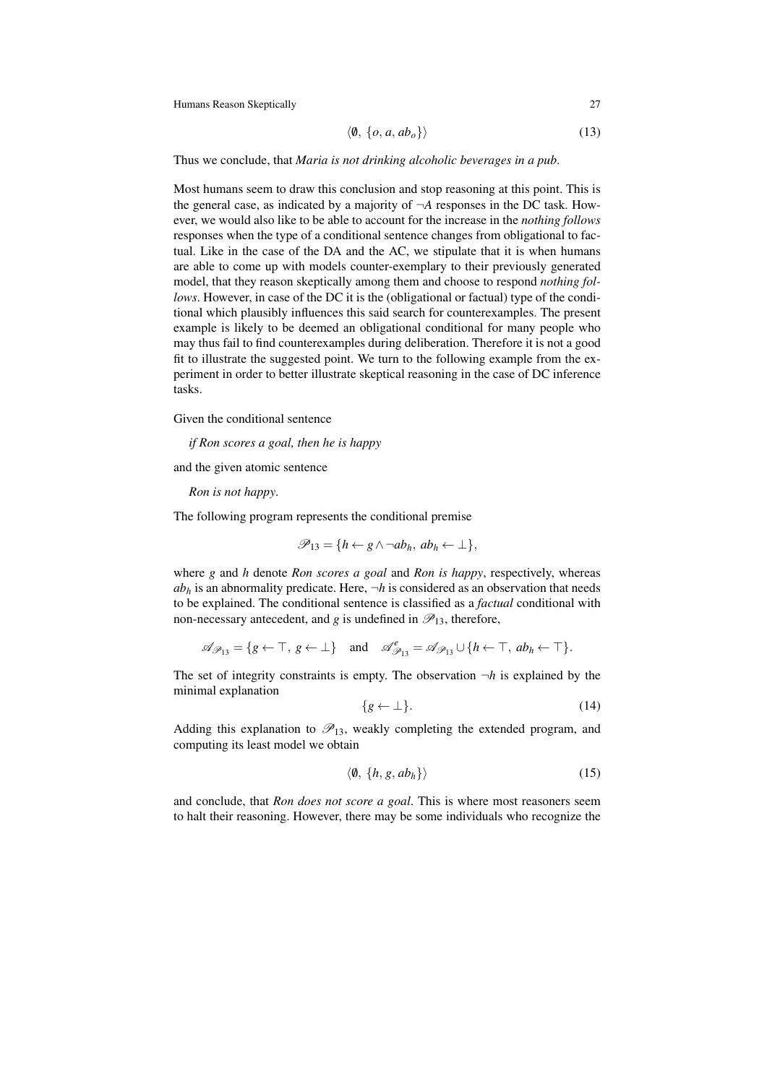$$
\langle \emptyset, \{o, a, ab_o\} \rangle \tag{13}
$$

Thus we conclude, that *Maria is not drinking alcoholic beverages in a pub*.

Most humans seem to draw this conclusion and stop reasoning at this point. This is the general case, as indicated by a majority of  $\neg A$  responses in the DC task. However, we would also like to be able to account for the increase in the *nothing follows* responses when the type of a conditional sentence changes from obligational to factual. Like in the case of the DA and the AC, we stipulate that it is when humans are able to come up with models counter-exemplary to their previously generated model, that they reason skeptically among them and choose to respond *nothing follows*. However, in case of the DC it is the (obligational or factual) type of the conditional which plausibly influences this said search for counterexamples. The present example is likely to be deemed an obligational conditional for many people who may thus fail to find counterexamples during deliberation. Therefore it is not a good fit to illustrate the suggested point. We turn to the following example from the experiment in order to better illustrate skeptical reasoning in the case of DC inference tasks.

Given the conditional sentence

*if Ron scores a goal, then he is happy*

and the given atomic sentence

*Ron is not happy*.

The following program represents the conditional premise

$$
\mathscr{P}_{13} = \{ h \leftarrow g \land \neg ab_h, \ ab_h \leftarrow \bot \},
$$

where *g* and *h* denote *Ron scores a goal* and *Ron is happy*, respectively, whereas  $ab<sub>h</sub>$  is an abnormality predicate. Here,  $\neg h$  is considered as an observation that needs to be explained. The conditional sentence is classified as a *factual* conditional with non-necessary antecedent, and *g* is undefined in  $\mathcal{P}_{13}$ , therefore,

$$
\mathscr{A}_{\mathscr{P}_{13}} = \{g \leftarrow \top, g \leftarrow \bot\} \quad \text{and} \quad \mathscr{A}_{\mathscr{P}_{13}}^e = \mathscr{A}_{\mathscr{P}_{13}} \cup \{h \leftarrow \top, ab_h \leftarrow \top\}.
$$

The set of integrity constraints is empty. The observation  $\neg h$  is explained by the minimal explanation

<span id="page-26-1"></span>
$$
\{g \leftarrow \bot\}.\tag{14}
$$

Adding this explanation to  $\mathcal{P}_{13}$ , weakly completing the extended program, and computing its least model we obtain

<span id="page-26-0"></span>
$$
\langle \emptyset, \{h, g, ab_h\} \rangle \tag{15}
$$

and conclude, that *Ron does not score a goal*. This is where most reasoners seem to halt their reasoning. However, there may be some individuals who recognize the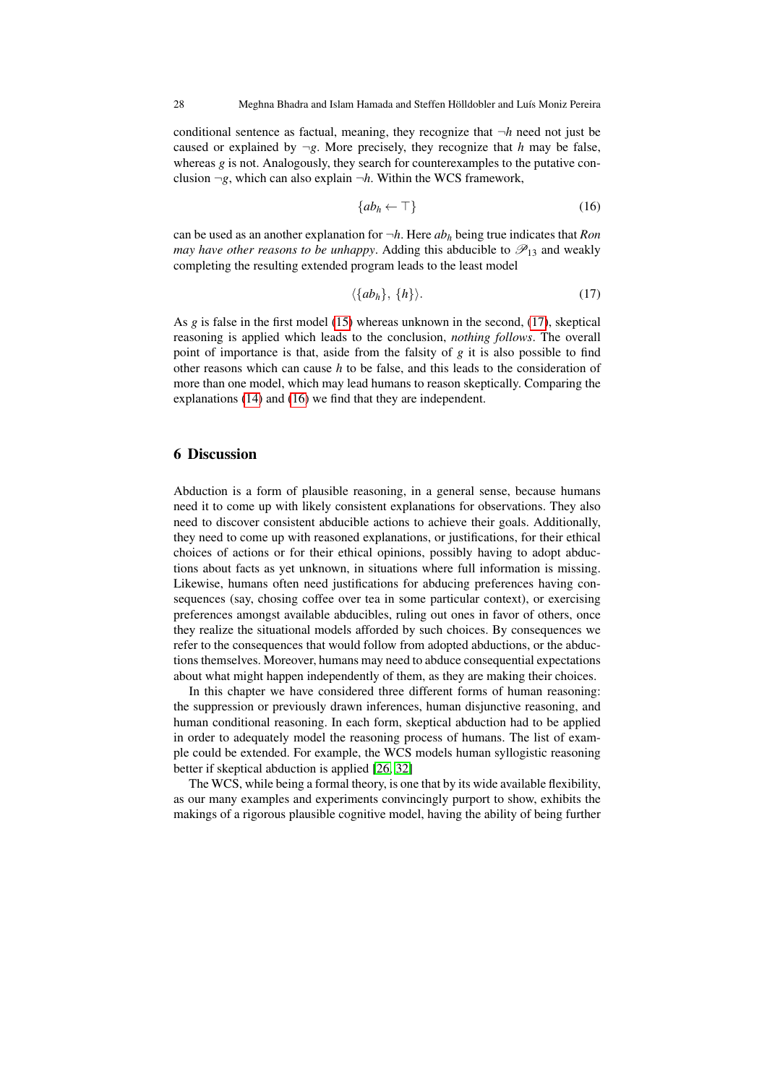conditional sentence as factual, meaning, they recognize that ¬*h* need not just be caused or explained by  $\neg g$ . More precisely, they recognize that *h* may be false, whereas *g* is not. Analogously, they search for counterexamples to the putative conclusion  $\neg g$ , which can also explain  $\neg h$ . Within the WCS framework,

<span id="page-27-2"></span>
$$
\{ab_h \leftarrow \top\} \tag{16}
$$

can be used as an another explanation for  $\neg h$ . Here  $ab<sub>h</sub>$  being true indicates that *Ron may have other reasons to be unhappy.* Adding this abducible to  $\mathcal{P}_{13}$  and weakly completing the resulting extended program leads to the least model

<span id="page-27-1"></span>
$$
\langle \{ab_h\}, \{h\} \rangle. \tag{17}
$$

As *g* is false in the first model [\(15\)](#page-26-0) whereas unknown in the second, [\(17\)](#page-27-1), skeptical reasoning is applied which leads to the conclusion, *nothing follows*. The overall point of importance is that, aside from the falsity of *g* it is also possible to find other reasons which can cause *h* to be false, and this leads to the consideration of more than one model, which may lead humans to reason skeptically. Comparing the explanations [\(14\)](#page-26-1) and [\(16\)](#page-27-2) we find that they are independent.

### <span id="page-27-0"></span>6 Discussion

Abduction is a form of plausible reasoning, in a general sense, because humans need it to come up with likely consistent explanations for observations. They also need to discover consistent abducible actions to achieve their goals. Additionally, they need to come up with reasoned explanations, or justifications, for their ethical choices of actions or for their ethical opinions, possibly having to adopt abductions about facts as yet unknown, in situations where full information is missing. Likewise, humans often need justifications for abducing preferences having consequences (say, chosing coffee over tea in some particular context), or exercising preferences amongst available abducibles, ruling out ones in favor of others, once they realize the situational models afforded by such choices. By consequences we refer to the consequences that would follow from adopted abductions, or the abductions themselves. Moreover, humans may need to abduce consequential expectations about what might happen independently of them, as they are making their choices.

In this chapter we have considered three different forms of human reasoning: the suppression or previously drawn inferences, human disjunctive reasoning, and human conditional reasoning. In each form, skeptical abduction had to be applied in order to adequately model the reasoning process of humans. The list of example could be extended. For example, the WCS models human syllogistic reasoning better if skeptical abduction is applied [\[26,](#page-31-3) [32\]](#page-31-10)

The WCS, while being a formal theory, is one that by its wide available flexibility, as our many examples and experiments convincingly purport to show, exhibits the makings of a rigorous plausible cognitive model, having the ability of being further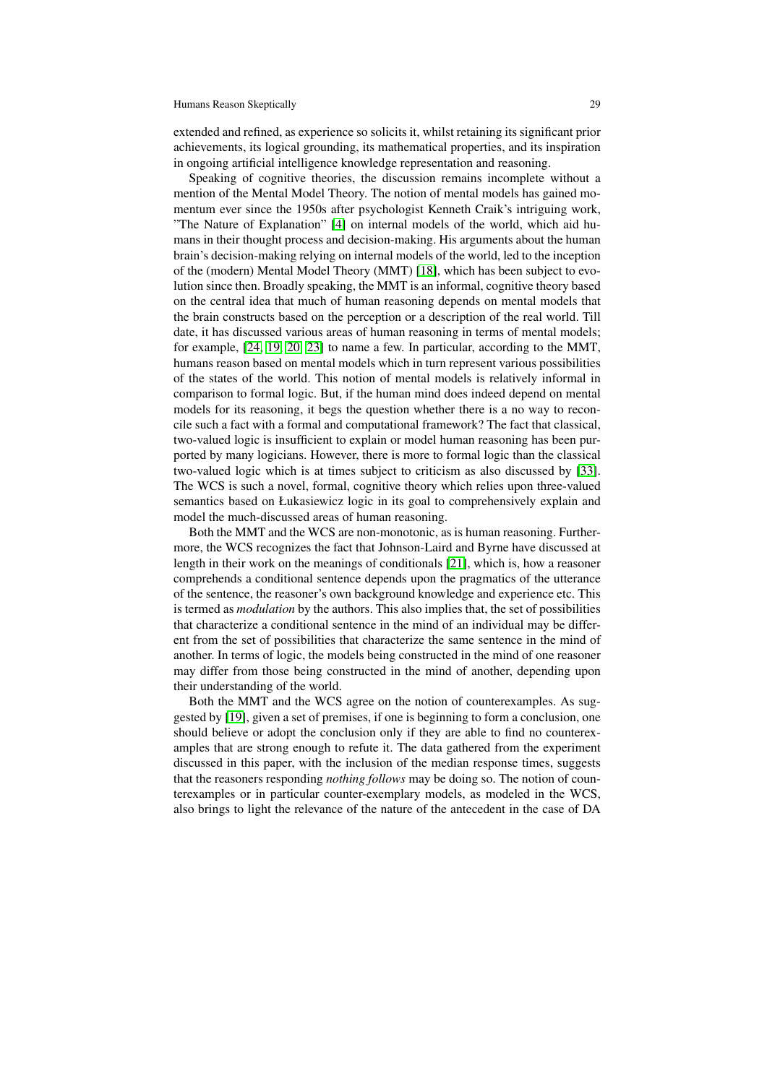extended and refined, as experience so solicits it, whilst retaining its significant prior achievements, its logical grounding, its mathematical properties, and its inspiration in ongoing artificial intelligence knowledge representation and reasoning.

Speaking of cognitive theories, the discussion remains incomplete without a mention of the Mental Model Theory. The notion of mental models has gained momentum ever since the 1950s after psychologist Kenneth Craik's intriguing work, "The Nature of Explanation" [\[4\]](#page-30-17) on internal models of the world, which aid humans in their thought process and decision-making. His arguments about the human brain's decision-making relying on internal models of the world, led to the inception of the (modern) Mental Model Theory (MMT) [\[18\]](#page-30-18), which has been subject to evolution since then. Broadly speaking, the MMT is an informal, cognitive theory based on the central idea that much of human reasoning depends on mental models that the brain constructs based on the perception or a description of the real world. Till date, it has discussed various areas of human reasoning in terms of mental models; for example, [\[24,](#page-31-11) [19,](#page-30-1) [20,](#page-30-19) [23\]](#page-31-12) to name a few. In particular, according to the MMT, humans reason based on mental models which in turn represent various possibilities of the states of the world. This notion of mental models is relatively informal in comparison to formal logic. But, if the human mind does indeed depend on mental models for its reasoning, it begs the question whether there is a no way to reconcile such a fact with a formal and computational framework? The fact that classical, two-valued logic is insufficient to explain or model human reasoning has been purported by many logicians. However, there is more to formal logic than the classical two-valued logic which is at times subject to criticism as also discussed by [\[33\]](#page-31-13). The WCS is such a novel, formal, cognitive theory which relies upon three-valued semantics based on Łukasiewicz logic in its goal to comprehensively explain and model the much-discussed areas of human reasoning.

Both the MMT and the WCS are non-monotonic, as is human reasoning. Furthermore, the WCS recognizes the fact that Johnson-Laird and Byrne have discussed at length in their work on the meanings of conditionals [\[21\]](#page-30-8), which is, how a reasoner comprehends a conditional sentence depends upon the pragmatics of the utterance of the sentence, the reasoner's own background knowledge and experience etc. This is termed as *modulation* by the authors. This also implies that, the set of possibilities that characterize a conditional sentence in the mind of an individual may be different from the set of possibilities that characterize the same sentence in the mind of another. In terms of logic, the models being constructed in the mind of one reasoner may differ from those being constructed in the mind of another, depending upon their understanding of the world.

Both the MMT and the WCS agree on the notion of counterexamples. As suggested by [\[19\]](#page-30-1), given a set of premises, if one is beginning to form a conclusion, one should believe or adopt the conclusion only if they are able to find no counterexamples that are strong enough to refute it. The data gathered from the experiment discussed in this paper, with the inclusion of the median response times, suggests that the reasoners responding *nothing follows* may be doing so. The notion of counterexamples or in particular counter-exemplary models, as modeled in the WCS, also brings to light the relevance of the nature of the antecedent in the case of DA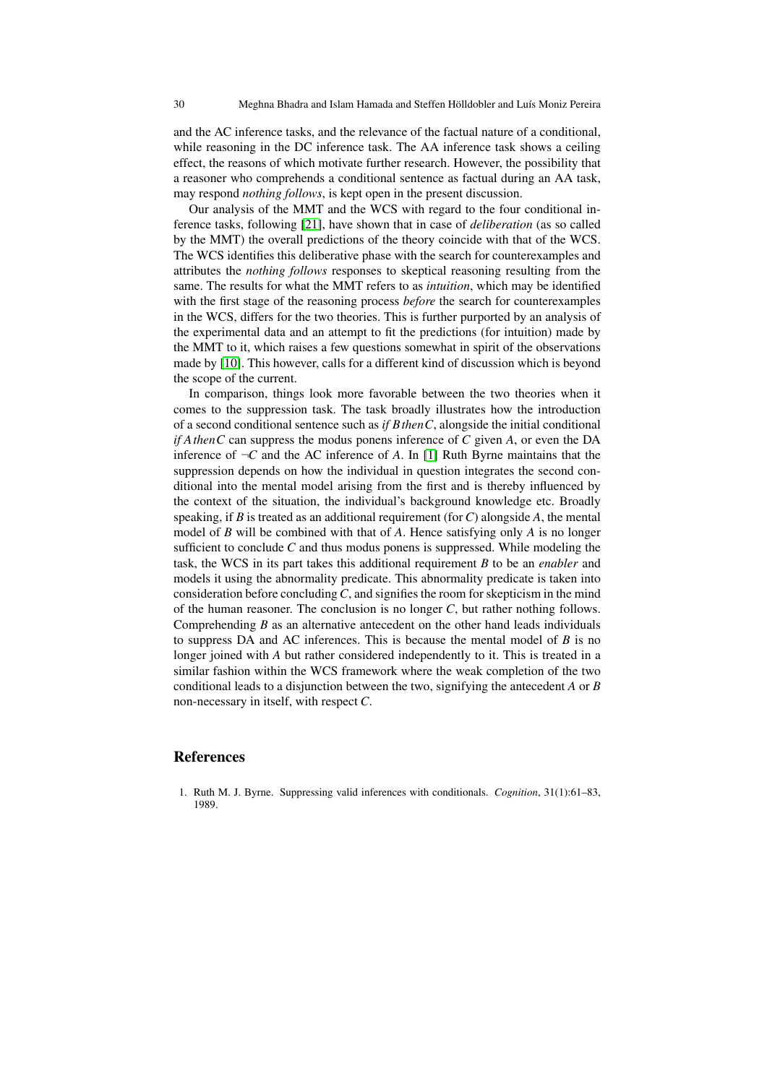and the AC inference tasks, and the relevance of the factual nature of a conditional, while reasoning in the DC inference task. The AA inference task shows a ceiling effect, the reasons of which motivate further research. However, the possibility that a reasoner who comprehends a conditional sentence as factual during an AA task, may respond *nothing follows*, is kept open in the present discussion.

Our analysis of the MMT and the WCS with regard to the four conditional inference tasks, following [\[21\]](#page-30-8), have shown that in case of *deliberation* (as so called by the MMT) the overall predictions of the theory coincide with that of the WCS. The WCS identifies this deliberative phase with the search for counterexamples and attributes the *nothing follows* responses to skeptical reasoning resulting from the same. The results for what the MMT refers to as *intuition*, which may be identified with the first stage of the reasoning process *before* the search for counterexamples in the WCS, differs for the two theories. This is further purported by an analysis of the experimental data and an attempt to fit the predictions (for intuition) made by the MMT to it, which raises a few questions somewhat in spirit of the observations made by [\[10\]](#page-30-16). This however, calls for a different kind of discussion which is beyond the scope of the current.

In comparison, things look more favorable between the two theories when it comes to the suppression task. The task broadly illustrates how the introduction of a second conditional sentence such as *if BthenC*, alongside the initial conditional *if AthenC* can suppress the modus ponens inference of *C* given *A*, or even the DA inference of  $\neg C$  and the AC inference of *A*. In [\[1\]](#page-29-0) Ruth Byrne maintains that the suppression depends on how the individual in question integrates the second conditional into the mental model arising from the first and is thereby influenced by the context of the situation, the individual's background knowledge etc. Broadly speaking, if *B* is treated as an additional requirement (for *C*) alongside *A*, the mental model of *B* will be combined with that of *A*. Hence satisfying only *A* is no longer sufficient to conclude *C* and thus modus ponens is suppressed. While modeling the task, the WCS in its part takes this additional requirement *B* to be an *enabler* and models it using the abnormality predicate. This abnormality predicate is taken into consideration before concluding*C*, and signifies the room for skepticism in the mind of the human reasoner. The conclusion is no longer *C*, but rather nothing follows. Comprehending *B* as an alternative antecedent on the other hand leads individuals to suppress DA and AC inferences. This is because the mental model of *B* is no longer joined with *A* but rather considered independently to it. This is treated in a similar fashion within the WCS framework where the weak completion of the two conditional leads to a disjunction between the two, signifying the antecedent *A* or *B* non-necessary in itself, with respect *C*.

#### References

<span id="page-29-0"></span>1. Ruth M. J. Byrne. Suppressing valid inferences with conditionals. *Cognition*, 31(1):61–83, 1989.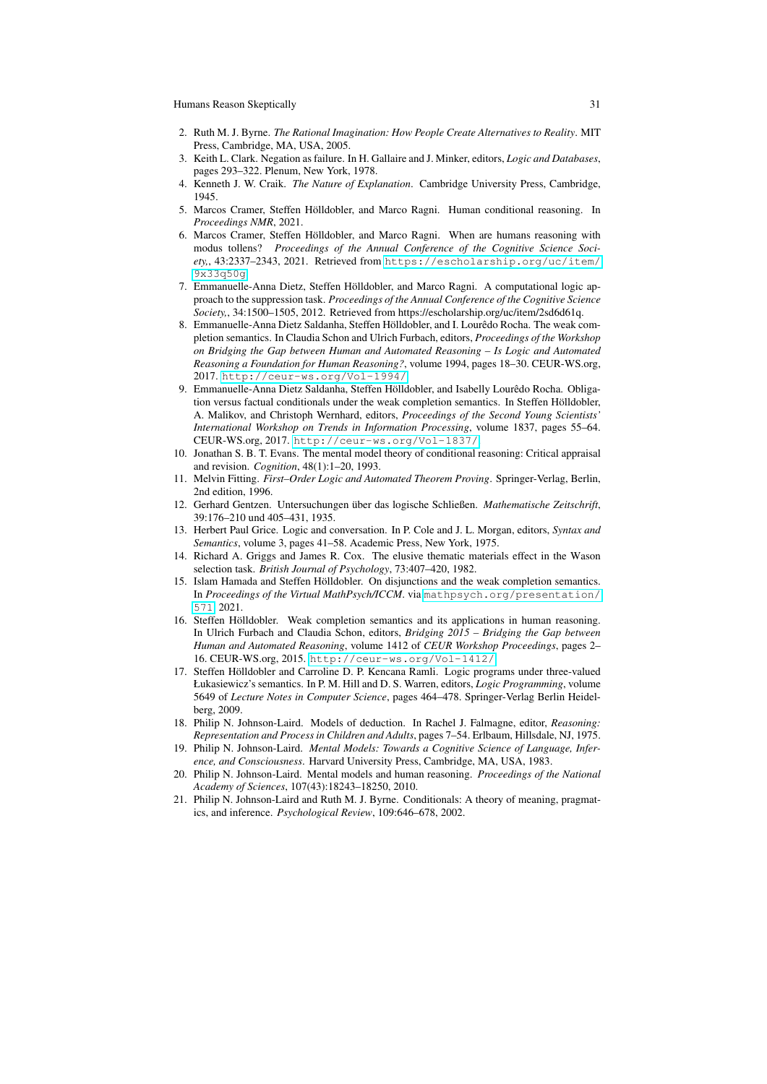- <span id="page-30-14"></span>2. Ruth M. J. Byrne. *The Rational Imagination: How People Create Alternatives to Reality*. MIT Press, Cambridge, MA, USA, 2005.
- <span id="page-30-6"></span>3. Keith L. Clark. Negation as failure. In H. Gallaire and J. Minker, editors, *Logic and Databases*, pages 293–322. Plenum, New York, 1978.
- <span id="page-30-17"></span>4. Kenneth J. W. Craik. *The Nature of Explanation*. Cambridge University Press, Cambridge, 1945.
- <span id="page-30-12"></span>5. Marcos Cramer, Steffen Hölldobler, and Marco Ragni. Human conditional reasoning. In *Proceedings NMR*, 2021.
- <span id="page-30-11"></span>6. Marcos Cramer, Steffen Hölldobler, and Marco Ragni. When are humans reasoning with modus tollens? *Proceedings of the Annual Conference of the Cognitive Science Society,*, 43:2337–2343, 2021. Retrieved from [https://escholarship.org/uc/item/](https://escholarship.org/uc/item/9x33q50g) [9x33q50g](https://escholarship.org/uc/item/9x33q50g).
- <span id="page-30-5"></span>7. Emmanuelle-Anna Dietz, Steffen Hölldobler, and Marco Ragni. A computational logic approach to the suppression task. *Proceedings of the Annual Conference of the Cognitive Science Society,*, 34:1500–1505, 2012. Retrieved from https://escholarship.org/uc/item/2sd6d61q.
- <span id="page-30-4"></span>8. Emmanuelle-Anna Dietz Saldanha, Steffen Hölldobler, and I. Lourêdo Rocha. The weak completion semantics. In Claudia Schon and Ulrich Furbach, editors, *Proceedings of the Workshop on Bridging the Gap between Human and Automated Reasoning – Is Logic and Automated Reasoning a Foundation for Human Reasoning?*, volume 1994, pages 18–30. CEUR-WS.org, 2017. <http://ceur-ws.org/Vol-1994/>.
- <span id="page-30-13"></span>9. Emmanuelle-Anna Dietz Saldanha, Steffen Hölldobler, and Isabelly Lourêdo Rocha. Obligation versus factual conditionals under the weak completion semantics. In Steffen Hölldobler, A. Malikov, and Christoph Wernhard, editors, *Proceedings of the Second Young Scientists' International Workshop on Trends in Information Processing*, volume 1837, pages 55–64. CEUR-WS.org, 2017. <http://ceur-ws.org/Vol-1837/>.
- <span id="page-30-16"></span>10. Jonathan S. B. T. Evans. The mental model theory of conditional reasoning: Critical appraisal and revision. *Cognition*, 48(1):1–20, 1993.
- <span id="page-30-2"></span>11. Melvin Fitting. *First–Order Logic and Automated Theorem Proving*. Springer-Verlag, Berlin, 2nd edition, 1996.
- <span id="page-30-10"></span>12. Gerhard Gentzen. Untersuchungen über das logische Schließen. *Mathematische Zeitschrift*, 39:176–210 und 405–431, 1935.
- <span id="page-30-7"></span>13. Herbert Paul Grice. Logic and conversation. In P. Cole and J. L. Morgan, editors, *Syntax and Semantics*, volume 3, pages 41–58. Academic Press, New York, 1975.
- <span id="page-30-15"></span>14. Richard A. Griggs and James R. Cox. The elusive thematic materials effect in the Wason selection task. *British Journal of Psychology*, 73:407–420, 1982.
- <span id="page-30-9"></span>15. Islam Hamada and Steffen Hölldobler. On disjunctions and the weak completion semantics. In *Proceedings of the Virtual MathPsych/ICCM*. via [mathpsych.org/presentation/](mathpsych.org/presentation/571) [571](mathpsych.org/presentation/571), 2021.
- <span id="page-30-3"></span>16. Steffen Hölldobler. Weak completion semantics and its applications in human reasoning. In Ulrich Furbach and Claudia Schon, editors, *Bridging 2015 – Bridging the Gap between Human and Automated Reasoning*, volume 1412 of *CEUR Workshop Proceedings*, pages 2– 16. CEUR-WS.org, 2015. <http://ceur-ws.org/Vol-1412/>.
- <span id="page-30-0"></span>17. Steffen Hölldobler and Carroline D. P. Kencana Ramli. Logic programs under three-valued Łukasiewicz's semantics. In P. M. Hill and D. S. Warren, editors, *Logic Programming*, volume 5649 of *Lecture Notes in Computer Science*, pages 464–478. Springer-Verlag Berlin Heidelberg, 2009.
- <span id="page-30-18"></span>18. Philip N. Johnson-Laird. Models of deduction. In Rachel J. Falmagne, editor, *Reasoning: Representation and Process in Children and Adults*, pages 7–54. Erlbaum, Hillsdale, NJ, 1975.
- <span id="page-30-1"></span>19. Philip N. Johnson-Laird. *Mental Models: Towards a Cognitive Science of Language, Inference, and Consciousness*. Harvard University Press, Cambridge, MA, USA, 1983.
- <span id="page-30-19"></span>20. Philip N. Johnson-Laird. Mental models and human reasoning. *Proceedings of the National Academy of Sciences*, 107(43):18243–18250, 2010.
- <span id="page-30-8"></span>21. Philip N. Johnson-Laird and Ruth M. J. Byrne. Conditionals: A theory of meaning, pragmatics, and inference. *Psychological Review*, 109:646–678, 2002.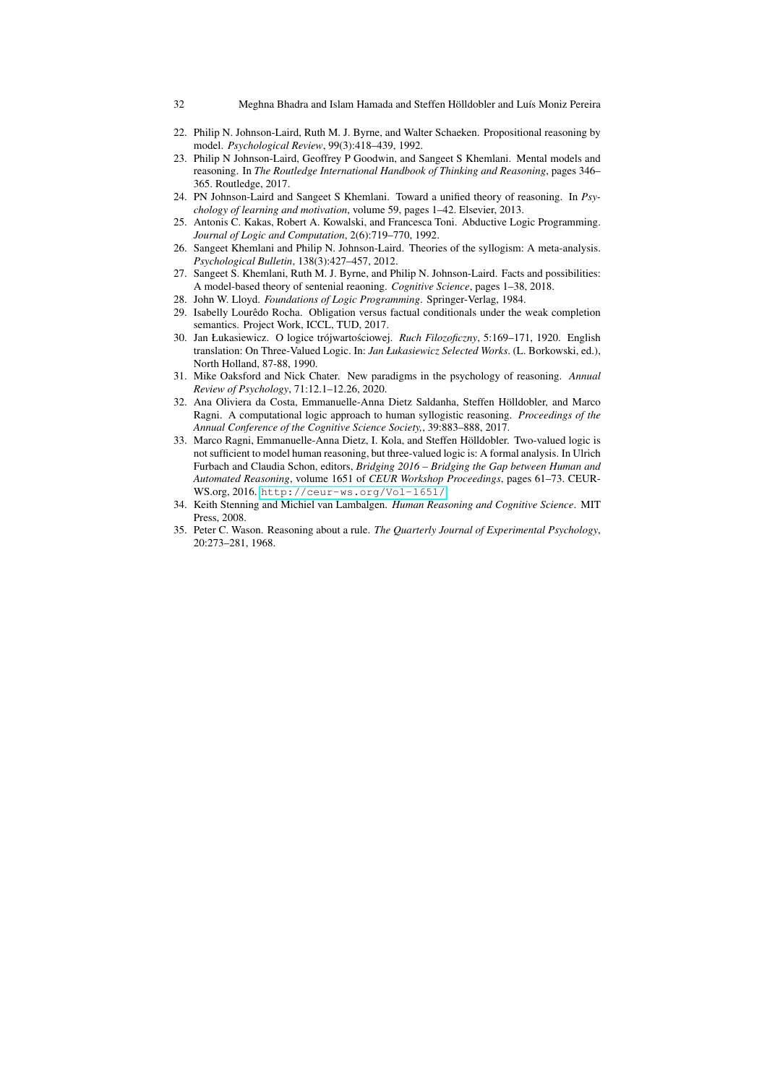- <span id="page-31-4"></span>22. Philip N. Johnson-Laird, Ruth M. J. Byrne, and Walter Schaeken. Propositional reasoning by model. *Psychological Review*, 99(3):418–439, 1992.
- <span id="page-31-12"></span>23. Philip N Johnson-Laird, Geoffrey P Goodwin, and Sangeet S Khemlani. Mental models and reasoning. In *The Routledge International Handbook of Thinking and Reasoning*, pages 346– 365. Routledge, 2017.
- <span id="page-31-11"></span>24. PN Johnson-Laird and Sangeet S Khemlani. Toward a unified theory of reasoning. In *Psychology of learning and motivation*, volume 59, pages 1–42. Elsevier, 2013.
- <span id="page-31-7"></span>25. Antonis C. Kakas, Robert A. Kowalski, and Francesca Toni. Abductive Logic Programming. *Journal of Logic and Computation*, 2(6):719–770, 1992.
- <span id="page-31-3"></span>26. Sangeet Khemlani and Philip N. Johnson-Laird. Theories of the syllogism: A meta-analysis. *Psychological Bulletin*, 138(3):427–457, 2012.
- <span id="page-31-5"></span>27. Sangeet S. Khemlani, Ruth M. J. Byrne, and Philip N. Johnson-Laird. Facts and possibilities: A model-based theory of sentenial reaoning. *Cognitive Science*, pages 1–38, 2018.
- <span id="page-31-6"></span>28. John W. Lloyd. *Foundations of Logic Programming*. Springer-Verlag, 1984.
- <span id="page-31-8"></span>29. Isabelly Lourêdo Rocha. Obligation versus factual conditionals under the weak completion semantics. Project Work, ICCL, TUD, 2017.
- <span id="page-31-2"></span>30. Jan Łukasiewicz. O logice trójwartościowej. *Ruch Filozoficzny*, 5:169–171, 1920. English translation: On Three-Valued Logic. In: *Jan Łukasiewicz Selected Works*. (L. Borkowski, ed.), North Holland, 87-88, 1990.
- <span id="page-31-0"></span>31. Mike Oaksford and Nick Chater. New paradigms in the psychology of reasoning. *Annual Review of Psychology*, 71:12.1–12.26, 2020.
- <span id="page-31-10"></span>32. Ana Oliviera da Costa, Emmanuelle-Anna Dietz Saldanha, Steffen Hölldobler, and Marco Ragni. A computational logic approach to human syllogistic reasoning. *Proceedings of the Annual Conference of the Cognitive Science Society,*, 39:883–888, 2017.
- <span id="page-31-13"></span>33. Marco Ragni, Emmanuelle-Anna Dietz, I. Kola, and Steffen Hölldobler. Two-valued logic is not sufficient to model human reasoning, but three-valued logic is: A formal analysis. In Ulrich Furbach and Claudia Schon, editors, *Bridging 2016 – Bridging the Gap between Human and Automated Reasoning*, volume 1651 of *CEUR Workshop Proceedings*, pages 61–73. CEUR-WS.org, 2016. <http://ceur-ws.org/Vol-1651/>.
- <span id="page-31-1"></span>34. Keith Stenning and Michiel van Lambalgen. *Human Reasoning and Cognitive Science*. MIT Press, 2008.
- <span id="page-31-9"></span>35. Peter C. Wason. Reasoning about a rule. *The Quarterly Journal of Experimental Psychology*, 20:273–281, 1968.